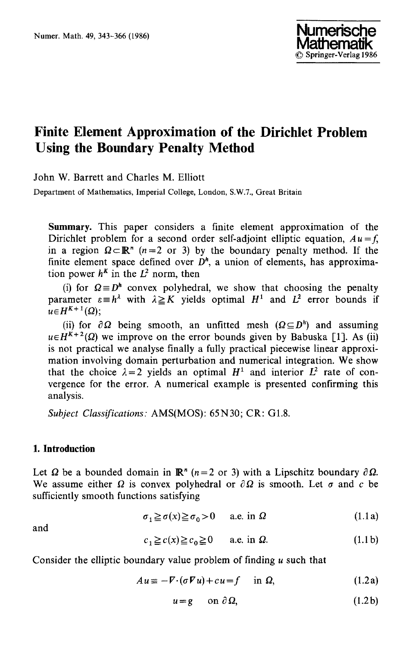

# **Finite Element Approximation of the Dirichlet Problem Using the Boundary Penalty Method**

John W. Barrett and Charles M. Elliott

Department of Mathematics, Imperial College, London, S.W.7., Great Britain

**Summary.** This paper considers a finite element approximation of the Dirichlet problem for a second order self-adjoint elliptic equation,  $Au = f$ , in a region  $\Omega \subset \mathbb{R}^n$  (n=2 or 3) by the boundary penalty method. If the finite element space defined over  $D<sup>h</sup>$ , a union of elements, has approximation power  $h^k$  in the  $L^2$  norm, then

(i) for  $\Omega \equiv D^h$  convex polyhedral, we show that choosing the penalty parameter  $\varepsilon = h^{\lambda}$  with  $\lambda \geq K$  yields optimal  $H^1$  and  $L^2$  error bounds if  $u \in H^{K+1}(\Omega)$ :

(ii) for  $\partial \Omega$  being smooth, an unfitted mesh  $(\Omega \subseteq D^h)$  and assuming  $u \in H^{K+2}(\Omega)$  we improve on the error bounds given by Babuska [1]. As (ii) is not practical we analyse finally a fully practical piecewise linear approximation involving domain perturbation and numerical integration. We show that the choice  $\lambda = 2$  yields an optimal  $H^1$  and interior  $L^2$  rate of convergence for the error. A numerical example is presented confirming this analysis.

*Subject Classifications."* AMS(MOS): 65N30; CR: G1.8.

## **I. Introduction**

Let  $\Omega$  be a bounded domain in  $\mathbb{R}^n$  (n=2 or 3) with a Lipschitz boundary  $\partial \Omega$ . We assume either  $\Omega$  is convex polyhedral or  $\partial \Omega$  is smooth. Let  $\sigma$  and c be sufficiently smooth functions satisfying

$$
\sigma_1 \ge \sigma(x) \ge \sigma_0 > 0 \qquad \text{a.e. in } \Omega \tag{1.1a}
$$

and

$$
c_1 \ge c(x) \ge c_0 \ge 0 \qquad \text{a.e. in } \Omega. \tag{1.1b}
$$

Consider the elliptic boundary value problem of finding u such that

$$
Au \equiv -V \cdot (\sigma V u) + cu = f \quad \text{in } \Omega,
$$
 (1.2a)

$$
u = g \qquad \text{on } \partial \Omega,
$$
 (1.2b)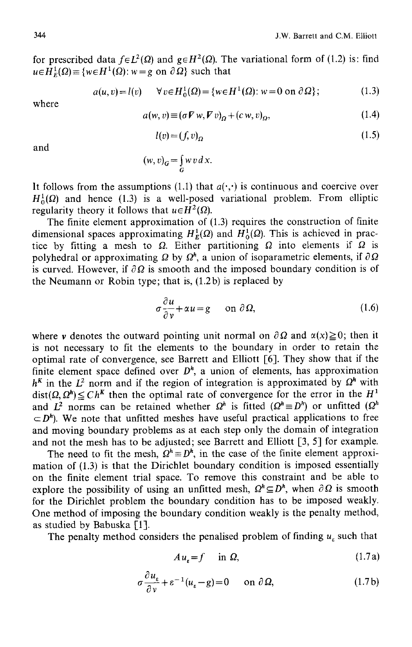for prescribed data  $f \in L^2(\Omega)$  and  $g \in H^2(\Omega)$ . The variational form of (1.2) is: find  $u \in \overline{H}_F^1(\Omega) \equiv \{w \in H^1(\Omega): w = g \text{ on } \partial \Omega\}$  such that

$$
a(u, v) = l(v) \qquad \forall v \in H_0^1(\Omega) = \{w \in H^1(\Omega) : w = 0 \text{ on } \partial \Omega\};
$$
 (1.3)

where

$$
a(w, v) \equiv (\sigma V w, V v)_{\Omega} + (c w, v)_{\Omega}, \qquad (1.4)
$$

$$
l(v) = (f, v)_{\Omega} \tag{1.5}
$$

and

$$
(w,v)_G = \int_G w v \, d x.
$$

It follows from the assumptions (1.1) that  $a(\cdot, \cdot)$  is continuous and coercive over  $H_0^1(\Omega)$  and hence (1.3) is a well-posed variational problem. From elliptic regularity theory it follows that  $u \in H^2(\Omega)$ .

The finite element approximation of (1.3) requires the construction of finite dimensional spaces approximating  $H_R^1(\Omega)$  and  $H_0^1(\Omega)$ . This is achieved in practice by fitting a mesh to  $\Omega$ . Either partitioning  $\Omega$  into elements if  $\Omega$  is polyhedral or approximating  $\Omega$  by  $\Omega^h$ , a union of isoparametric elements, if  $\partial \Omega$ is curved. However, if  $\partial \Omega$  is smooth and the imposed boundary condition is of the Neumann or Robin type; that is, (1.2b) is replaced by

$$
\sigma \frac{\partial u}{\partial v} + \alpha u = g \quad \text{on } \partial \Omega,
$$
 (1.6)

where v denotes the outward pointing unit normal on  $\partial \Omega$  and  $\alpha(x) \ge 0$ ; then it is not necessary to fit the elements to the boundary in order to retain the optimal rate of convergence, see Barrett and Elliott [6]. They show that if the finite element space defined over  $D^h$ , a union of elements, has approximation  $h<sup>K</sup>$  in the  $L<sup>2</sup>$  norm and if the region of integration is approximated by  $\Omega<sup>h</sup>$  with  $dist(\Omega, \Omega^h) \leq C h^K$  then the optimal rate of convergence for the error in the  $H^1$ and  $L^2$  norms can be retained whether  $\Omega^h$  is fitted  $(\Omega^h \equiv D^h)$  or unfitted  $(\Omega^h)$  $\subset D^h$ ). We note that unfitted meshes have useful practical applications to free and moving boundary problems as at each step only the domain of integration and not the mesh has to be adjusted; see Barrett and Elliott [3, 5] for example.

The need to fit the mesh,  $\Omega^h \equiv D^h$ , in the case of the finite element approximation of (1.3) is that the Dirichlet boundary condition is imposed essentially on the finite element trial space. To remove this constraint and be able to explore the possibility of using an unfitted mesh,  $\Omega^h \subseteq D^h$ , when  $\partial \Omega$  is smooth for the Dirichlet problem the boundary condition has to be imposed weakly. One method of imposing the boundary condition weakly is the penalty method, as studied by Babuska [1].

The penalty method considers the penalised problem of finding  $u<sub>s</sub>$  such that

$$
Au_{\varepsilon} = f \quad \text{in } \Omega,\tag{1.7a}
$$

$$
\sigma \frac{\partial u_{\varepsilon}}{\partial v} + \varepsilon^{-1} (u_{\varepsilon} - g) = 0 \quad \text{on } \partial \Omega,
$$
 (1.7b)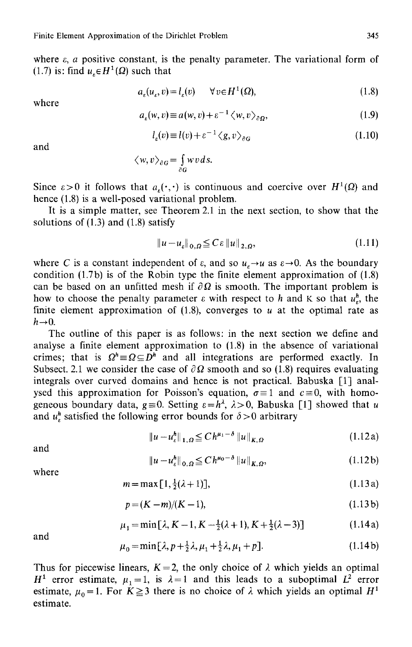where  $\varepsilon$ , a positive constant, is the penalty parameter. The variational form of (1.7) is: find  $u_{\varepsilon} \in H^1(\Omega)$  such that

$$
a_{\varepsilon}(u_{\varepsilon}, v) = l_{\varepsilon}(v) \qquad \forall v \in H^{1}(\Omega), \tag{1.8}
$$

where

$$
a_{\varepsilon}(w,v) \equiv a(w,v) + \varepsilon^{-1} \langle w,v \rangle_{\partial \Omega}, \tag{1.9}
$$

$$
l_{\varepsilon}(v) \equiv l(v) + \varepsilon^{-1} \langle g, v \rangle_{\partial G} \tag{1.10}
$$

and

$$
\langle w, v \rangle_{\partial G} = \int_{\partial G} w v \, ds.
$$

Since  $\varepsilon > 0$  it follows that  $a_{\varepsilon}(\cdot, \cdot)$  is continuous and coercive over  $H^1(\Omega)$  and hence (1.8) is a well-posed variational problem.

It is a simple matter, see Theorem 2.1 in the next section, to show that the solutions of  $(1.3)$  and  $(1.8)$  satisfy

$$
||u - u_{\varepsilon}||_{0,\Omega} \leq C \varepsilon ||u||_{2,\Omega}, \qquad (1.11)
$$

where C is a constant independent of  $\varepsilon$ , and so  $u_{\varepsilon} \rightarrow u$  as  $\varepsilon \rightarrow 0$ . As the boundary condition  $(1.7b)$  is of the Robin type the finite element approximation of  $(1.8)$ can be based on an unfitted mesh if  $\partial \Omega$  is smooth. The important problem is how to choose the penalty parameter  $\varepsilon$  with respect to h and K so that  $u_n^h$ , the finite element approximation of  $(1.8)$ , converges to u at the optimal rate as  $h\rightarrow 0$ .

The outline of this paper is as follows: in the next section we define and analyse a finite element approximation to (1.8) in the absence of variational crimes; that is  $\Omega^h \equiv \Omega \subseteq D^h$  and all integrations are performed exactly. In Subsect. 2.1 we consider the case of  $\partial \Omega$  smooth and so (1.8) requires evaluating integrals over curved domains and hence is not practical. Babuska [1] analysed this approximation for Poisson's equation,  $\sigma = 1$  and  $c = 0$ , with homogeneous boundary data,  $g \equiv 0$ . Setting  $\varepsilon = h^{\lambda}$ ,  $\lambda > 0$ , Babuska [1] showed that u and  $u_r^h$  satisfied the following error bounds for  $\delta > 0$  arbitrary

$$
||u - u\varepsilonh||1, \Omega \leq C h\mu_1 - \delta ||u||K, \Omega
$$
 (1.12a)

and

$$
\|u - u_{\varepsilon}^{h}\|_{0,\Omega} \leq C h^{\mu_0 - \delta} \|u\|_{K,\Omega},
$$
\n(1.12b)

where

$$
m = \max[1, \frac{1}{2}(\lambda + 1)], \tag{1.13a}
$$

$$
p = (K - m)/(K - 1),
$$
\n(1.13b)

$$
\mu_1 = \min[\lambda, K - 1, K - \frac{1}{2}(\lambda + 1), K + \frac{1}{2}(\lambda - 3)] \tag{1.14a}
$$

and

$$
\mu_0 = \min[\lambda, p + \frac{1}{2}\lambda, \mu_1 + \frac{1}{2}\lambda, \mu_1 + p]. \tag{1.14b}
$$

Thus for piecewise linears,  $K=2$ , the only choice of  $\lambda$  which yields an optimal  $H^1$  error estimate,  $\mu_1 = 1$ , is  $\lambda = 1$  and this leads to a suboptimal  $L^2$  error estimate,  $\mu_0 = 1$ . For  $K \ge 3$  there is no choice of  $\lambda$  which yields an optimal  $H^1$ estimate.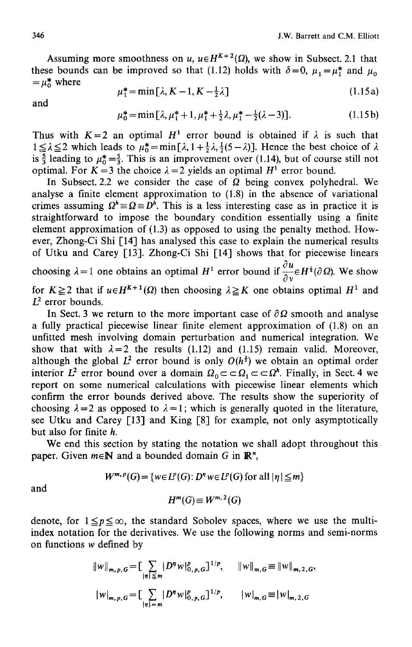Assuming more smoothness on u,  $u \in H^{K+2}(\Omega)$ , we show in Subsect. 2.1 that these bounds can be improved so that (1.12) holds with  $\delta = 0$ ,  $\mu_1 = \mu_1^*$  and  $\mu_0$  $=\mu_0^*$  where

$$
\mu_1^* = \min\left[\lambda, K - 1, K - \frac{1}{2}\lambda\right] \tag{1.15a}
$$

and

$$
\mu_0^* = \min[\lambda, \mu_1^* + 1, \mu_1^* + \frac{1}{2}\lambda, \mu_1^* - \frac{1}{2}(\lambda - 3)].
$$
 (1.15b)

Thus with  $K=2$  an optimal  $H^1$  error bound is obtained if  $\lambda$  is such that  $1 \leq \lambda \leq 2$  which leads to  $\mu_0^* = \min[\lambda, 1 + \frac{1}{2}\lambda, \frac{1}{2}(5 - \lambda)].$  Hence the best choice of  $\lambda$ is  $\frac{5}{3}$  leading to  $\mu_0^* = \frac{5}{3}$ . This is an improvement over (1.14), but of course still not optimal. For  $K = 3$  the choice  $\lambda = 2$  yields an optimal  $H^1$  error bound.

In Subsect. 2.2 we consider the case of  $\Omega$  being convex polyhedral. We analyse a finite element approximation to (1.8) in the absence of variational crimes assuming  $\Omega^h \equiv \Omega \equiv D^h$ . This is a less interesting case as in practice it is straightforward to impose the boundary condition essentially using a finite element approximation of (1.3) as opposed to using the penalty method. However, Zhong-Ci Shi [14] has analysed this case to explain the numerical results of Utku and Carey [13]. Zhong-Ci Shi [14] shows that for piecewise linears choosing  $\lambda = 1$  one obtains an optimal  $H^1$  error bound if  $\frac{\partial u}{\partial y} \in H^{\frac{1}{2}}(\partial \Omega)$ . We show for  $K \ge 2$  that if  $u \in H^{K+1}(\Omega)$  then choosing  $\lambda \ge K$  one obtains optimal  $H^1$  and  $L^2$  error bounds.

In Sect. 3 we return to the more important case of  $\partial\Omega$  smooth and analyse a fully practical piecewise linear finite element approximation of (1.8) on an unfitted mesh involving domain perturbation and numerical integration. We show that with  $\lambda = 2$  the results (1.12) and (1.15) remain valid. Moreover, although the global  $L^2$  error bound is only  $O(h^3)$  we obtain an optimal order interior  $L^2$  error bound over a domain  $\Omega_0 \subset \subset \Omega_1 \subset \subset \Omega^h$ . Finally, in Sect. 4 we report on some numerical calculations with piecewise linear elements which confirm the error bounds derived above. The results show the superiority of choosing  $\lambda = 2$  as opposed to  $\lambda = 1$ ; which is generally quoted in the literature, see Utku and Carey [13] and King [8] for example, not only asymptotically but also for finite h.

We end this section by stating the notation we shall adopt throughout this paper. Given  $m \in \mathbb{N}$  and a bounded domain G in  $\mathbb{R}^n$ ,

$$
W^{m,p}(G) = \{w \in L^p(G) : D^n w \in L^p(G) \text{ for all } |\eta| \leq m\}
$$

and

$$
H^m(G) \equiv W^{m,2}(G)
$$

denote, for  $1 \leq p \leq \infty$ , the standard Sobolev spaces, where we use the multiindex notation for the derivatives. We use the following norms and semi-norms on functions w defined by

$$
||w||_{m,p,G} = \left[ \sum_{|\eta| \le m} |D^{\eta}w|_{0,p,G}^p \right]^{1/p}, \qquad ||w||_{m,G} \equiv ||w||_{m,2,G},
$$
  

$$
|w|_{m,p,G} = \left[ \sum_{|\eta| = m} |D^{\eta}w|_{0,p,G}^p \right]^{1/p}, \qquad |w|_{m,G} \equiv |w|_{m,2,G}
$$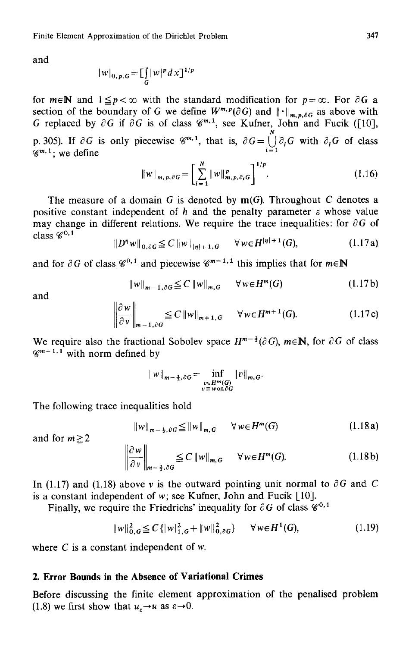and

$$
|w|_{0,p,G} = \prod_G |w|^p dx \, \mathrm{d}x
$$

for  $m \in \mathbb{N}$  and  $1 \leq p < \infty$  with the standard modification for  $p = \infty$ . For  $\partial G$  a section of the boundary of G we define  $W^{m,p}(\partial G)$  and  $\|\cdot\|_{m,p,\partial G}$  as above with G replaced by  $\partial G$  if  $\partial G$  is of class  $\mathscr{C}^{m,1}$ , see Kufner, John and Fucik ([10], p. 305). If  $\partial G$  is only piecewise  $\mathscr{C}^{m,1}$ , that is,  $\partial G = \bigcup_{i=1}^{N} \partial_i G$  with  $\partial_i G$  of class  $\mathscr{C}^{m,1}$ ; we define

$$
||w||_{m,p,\partial G} = \left[\sum_{i=1}^{N} ||w||_{m,p,\partial_i G}^p\right]^{1/p}.
$$
 (1.16)

The measure of a domain G is denoted by  $m(G)$ . Throughout C denotes a positive constant independent of h and the penalty parameter  $\varepsilon$  whose value may change in different relations. We require the trace inequalities: for  $\partial G$  of class  $\mathscr{C}^{0,1}$ 

$$
||D^{\eta} w||_{0,\partial G} \leq C ||w||_{|\eta|+1,G} \quad \forall w \in H^{|\eta|+1}(G), \tag{1.17a}
$$

and for  $\partial G$  of class  $\mathscr{C}^{0,1}$  and piecewise  $\mathscr{C}^{m-1,1}$  this implies that for  $m \in \mathbb{N}$ 

$$
||w||_{m-1,\partial G} \leq C ||w||_{m,G} \quad \forall w \in H^m(G)
$$
 (1.17b)

and

$$
\left\|\frac{\partial w}{\partial v}\right\|_{m-1,\partial G} \leq C \left\|w\right\|_{m+1,G} \quad \forall w \in H^{m+1}(G). \tag{1.17c}
$$

We require also the fractional Sobolev space  $H^{m-\frac{1}{2}}(\partial G)$ ,  $m \in \mathbb{N}$ , for  $\partial G$  of class  $\mathscr{C}^{m-1,1}$  with norm defined by

$$
||w||_{m-\frac{1}{2},\partial G} = \inf_{\substack{v \in H^m(G) \\ v \equiv w \text{ on } \partial G}} ||v||_{m,G}.
$$

The following trace inequalities hold

$$
||w||_{m-\frac{1}{2},\partial G} \le ||w||_{m,G} \qquad \forall w \in H^m(G) \tag{1.18a}
$$

and for  $m \ge 2$ 

$$
\left\|\frac{\partial w}{\partial v}\right\|_{m-\frac{3}{2},\partial G} \leq C \left\|w\right\|_{m,G} \quad \forall w \in H^m(G). \tag{1.18b}
$$

In (1.17) and (1.18) above v is the outward pointing unit normal to  $\partial G$  and C is a constant independent of  $w$ ; see Kufner, John and Fucik  $[10]$ .

Finally, we require the Friedrichs' inequality for  $\partial G$  of class  $\mathscr{C}^{0,1}$ 

$$
||w||_{0,G}^{2} \leq C\{|w|_{1,G}^{2} + ||w||_{0,\partial G}^{2}\} \qquad \forall w \in H^{1}(G), \tag{1.19}
$$

where  $C$  is a constant independent of  $w$ .

# **2. Error Bounds in the Absence of Variational Crimes**

Before discussing the finite element approximation of the penalised problem (1.8) we first show that  $u_{\varepsilon} \rightarrow u$  as  $\varepsilon \rightarrow 0$ .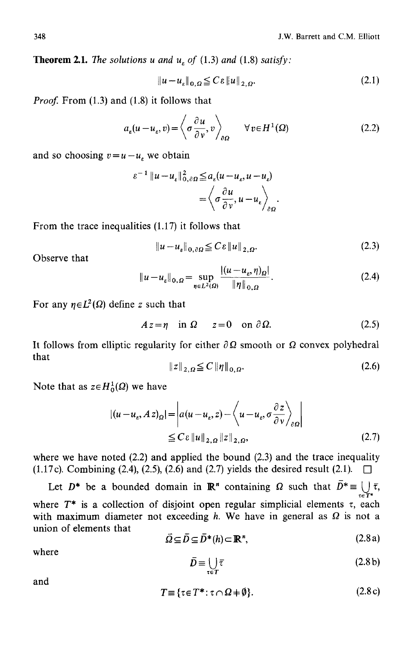**Theorem 2.1.** The solutions u and  $u<sub>r</sub>$  of (1.3) and (1.8) satisfy:

$$
\|u - u_{\varepsilon}\|_{0,\Omega} \leq C\varepsilon \|u\|_{2,\Omega}.\tag{2.1}
$$

*Proof.* From (1.3) and (1.8) it follows that

$$
a_{\varepsilon}(u - u_{\varepsilon}, v) = \left\langle \sigma \frac{\partial u}{\partial v}, v \right\rangle_{\partial \Omega} \qquad \forall v \in H^{1}(\Omega)
$$
 (2.2)

and so choosing  $v=u-u_{\epsilon}$ , we obtain

$$
\varepsilon^{-1} \|u - u_{\varepsilon}\|_{0,\partial\Omega}^2 \le a_{\varepsilon}(u - u_{\varepsilon}, u - u_{\varepsilon})
$$

$$
= \left\langle \sigma \frac{\partial u}{\partial v}, u - u_{\varepsilon} \right\rangle_{\partial\Omega}.
$$

From the trace inequalities (1.17) it follows that

$$
||u - u_{\varepsilon}||_{0, \partial \Omega} \leq C \varepsilon ||u||_{2, \Omega}.
$$
 (2.3)

**Observe** that

$$
||u - u_{\varepsilon}||_{0,\Omega} = \sup_{\eta \in L^{2}(\Omega)} \frac{|(u - u_{\varepsilon}, \eta)_{\Omega}|}{\|\eta\|_{0,\Omega}}.
$$
 (2.4)

For any  $\eta \in L^2(\Omega)$  define z such that

$$
Az = \eta \quad \text{in } \Omega \qquad z = 0 \quad \text{on } \partial \Omega. \tag{2.5}
$$

It follows from elliptic regularity for either  $\partial \Omega$  smooth or  $\Omega$  convex polyhedral that

$$
\|z\|_{2,\Omega} \le C \|\eta\|_{0,\Omega}.\tag{2.6}
$$

Note that as  $z \in H_0^1(\Omega)$  we have

$$
|(u - u_{\varepsilon}, Az)_{\Omega}| = \left| a(u - u_{\varepsilon}, z) - \left\langle u - u_{\varepsilon}, \sigma \frac{\partial z}{\partial v} \right\rangle_{\partial \Omega} \right|
$$
  
 
$$
\leq C \varepsilon ||u||_{2, \Omega} ||z||_{2, \Omega}, \qquad (2.7)
$$

where we have noted  $(2.2)$  and applied the bound  $(2.3)$  and the trace inequality (1.17c). Combining (2.4), (2.5), (2.6) and (2.7) yields the desired result (2.1).  $\Box$ 

Let  $D^*$  be a bounded domain in  $\mathbb{R}^n$  containing  $\Omega$  such that  $D^* \equiv \bigcup_{\tau \in T^*} \bar{\tau}$ , where  $T^*$  is a collection of disjoint open regular simplicial elements  $\tau$ , each with maximum diameter not exceeding h. We have in general as  $\Omega$  is not a union of elements that

$$
\overline{\Omega} \subseteq \overline{D} \subseteq \overline{D}^*(h) \subset \mathbb{R}^n, \tag{2.8a}
$$

where

$$
\bar{D} \equiv \bigcup_{\tau \in T} \bar{\tau} \tag{2.8 b}
$$

and

$$
T \equiv \{\tau \in T^* : \tau \cap \Omega + \emptyset\}. \tag{2.8c}
$$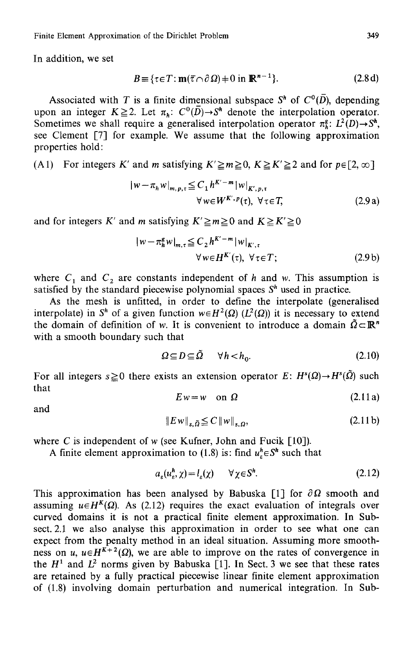Finite Element Approximation of the Dirichlet Problem 349

In addition, we set

$$
B = \{ \tau \in T : \mathbf{m}(\overline{\tau} \cap \partial \Omega) \neq 0 \text{ in } \mathbb{R}^{n-1} \}. \tag{2.8d}
$$

Associated with T is a finite dimensional subspace  $S<sup>h</sup>$  of  $C<sup>0</sup>(\overline{D})$ , depending upon an integer  $K \ge 2$ . Let  $\pi_h$ :  $C^0(\overline{D}) \rightarrow S^h$  denote the interpolation operator. Sometimes we shall require a generalised interpolation operator  $\pi^g$ :  $L^2(D) \rightarrow S^h$ , see Clement [7] for example. We assume that the following approximation properties hold:

(A1) For integers K' and m satisfying  $K' \ge m \ge 0$ ,  $K \ge K' \ge 2$  and for  $p \in [2, \infty]$ 

$$
|w - \pi_h w|_{m, p, \tau} \leq C_1 h^{K' - m} |w|_{K', p, \tau}
$$
  
 
$$
\forall w \in W^{K', p}(\tau), \ \forall \tau \in T,
$$
 (2.9 a)

and for integers K' and m satisfying  $K' \ge m \ge 0$  and  $K \ge K' \ge 0$ 

$$
|w - \pi_h^g w|_{m,\tau} \leq C_2 h^{K'-m} |w|_{K',\tau}
$$
  

$$
\forall w \in H^{K'}(\tau), \ \forall \tau \in T;
$$
 (2.9 b)

where  $C_1$  and  $C_2$  are constants independent of h and w. This assumption is satisfied by the standard piecewise polynomial spaces  $S<sup>h</sup>$  used in practice.

As the mesh is unfitted, in order to define the interpolate (generalised interpolate) in S<sup>h</sup> of a given function  $w \in H^2(\Omega)$  ( $L^2(\Omega)$ ) it is necessary to extend the domain of definition of w. It is convenient to introduce a domain  $\tilde{Q} \subset \mathbb{R}^n$ with a smooth boundary such that

$$
\Omega \subseteq D \subseteq \Omega \qquad \forall h < h_0. \tag{2.10}
$$

For all integers  $s \ge 0$  there exists an extension operator E:  $H^s(\Omega) \rightarrow H^s(\tilde{\Omega})$  such that

$$
Ew = w \quad \text{on } \Omega \tag{2.11a}
$$

and

$$
||Ew||_{s,\tilde{\Omega}} \leq C ||w||_{s,\Omega}, \tag{2.11b}
$$

where C is independent of w (see Kufner, John and Fucik  $[10]$ ).

A finite element approximation to (1.8) is: find  $u_r^h \in S^h$  such that

$$
a_{\varepsilon}(u_{\varepsilon}^h, \chi) = l_{\varepsilon}(\chi) \qquad \forall \chi \in \mathcal{S}^h. \tag{2.12}
$$

This approximation has been analysed by Babuska [1] for  $\partial \Omega$  smooth and assuming  $u \in H^{K}(\Omega)$ . As (2.12) requires the exact evaluation of integrals over curved domains it is not a practical finite element approximation. In Subsect. 2.1 we also analyse this approximation in order to see what one can expect from the penalty method in an ideal situation. Assuming more smoothness on *u*,  $u \in H^{K+2}(\Omega)$ , we are able to improve on the rates of convergence in the  $H^1$  and  $L^2$  norms given by Babuska [1]. In Sect. 3 we see that these rates are retained by a fully practical piecewise linear finite element approximation of (1.8) involving domain perturbation and numerical integration. In Sub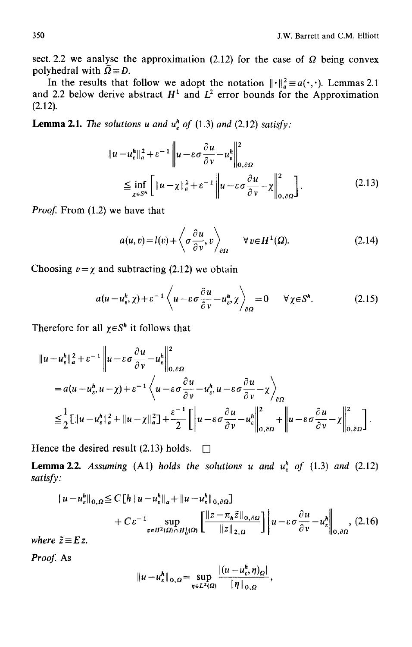sect. 2.2 we analyse the approximation (2.12) for the case of  $\Omega$  being convex polyhedral with  $\overline{Q} = D$ .

In the results that follow we adopt the notation  $\|\cdot\|_a^2 \equiv a(\cdot, \cdot)$ . Lemmas 2.1 and 2.2 below derive abstract  $H^1$  and  $L^2$  error bounds for the Approximation (2.12).

**Lemma 2.1.** The solutions u and  $u^h$  of (1.3) and (2.12) satisfy:

$$
||u - u_{\varepsilon}^{h}||_{a}^{2} + \varepsilon^{-1} ||u - \varepsilon \sigma \frac{\partial u}{\partial v} - u_{\varepsilon}^{h}||_{0, \partial \Omega}^{2}
$$
  

$$
\leq \inf_{\chi \in S^{h}} \left[ ||u - \chi||_{a}^{2} + \varepsilon^{-1} ||u - \varepsilon \sigma \frac{\partial u}{\partial v} - \chi||_{0, \partial \Omega}^{2} \right].
$$
 (2.13)

*Proof.* From (1.2) we have that

$$
a(u,v) = l(v) + \left\langle \sigma \frac{\partial u}{\partial v}, v \right\rangle_{\partial \Omega} \qquad \forall v \in H^1(\Omega). \tag{2.14}
$$

Choosing  $v = \chi$  and subtracting (2.12) we obtain

$$
a(u - u_{\varepsilon}^h, \chi) + \varepsilon^{-1} \left\langle u - \varepsilon \sigma \frac{\partial u}{\partial v} - u_{\varepsilon}^h, \chi \right\rangle_{\partial \Omega} = 0 \quad \forall \chi \in S^h. \tag{2.15}
$$

Therefore for all  $\chi \in S^h$  it follows that

$$
\|u - u_{\varepsilon}^{h}\|_{a}^{2} + \varepsilon^{-1} \|u - \varepsilon \sigma \frac{\partial u}{\partial \nu} - u_{\varepsilon}^{h}\|_{0, \partial \Omega}^{2}
$$
  
=  $a(u - u_{\varepsilon}^{h}, u - \chi) + \varepsilon^{-1} \left\langle u - \varepsilon \sigma \frac{\partial u}{\partial \nu} - u_{\varepsilon}^{h}, u - \varepsilon \sigma \frac{\partial u}{\partial \nu} - \chi \right\rangle_{\partial \Omega}$   

$$
\leq \frac{1}{2} \Big[ \|u - u_{\varepsilon}^{h}\|_{a}^{2} + \|u - \chi\|_{a}^{2} \Big] + \frac{\varepsilon^{-1}}{2} \Big[ \|u - \varepsilon \sigma \frac{\partial u}{\partial \nu} - u_{\varepsilon}^{h}\|_{0, \partial \Omega}^{2} + \Big\| u - \varepsilon \sigma \frac{\partial u}{\partial \nu} - \chi \Big\|_{0, \partial \Omega}^{2} \Big].
$$

Hence the desired result (2.13) holds.  $\Box$ 

**Lemma 2.2.** Assuming (A1) holds the solutions u and  $u_k^h$  of (1.3) and (2.12) *satisfy:* 

$$
\|u - u_{\varepsilon}^{h}\|_{0,\Omega} \le C \left[h\left\|u - u_{\varepsilon}^{h}\right\|_{a} + \left\|u - u_{\varepsilon}^{h}\right\|_{0,\partial\Omega}\right] + C \varepsilon^{-1} \sup_{z \in H^{2}(\Omega) \cap H_{0}^{1}(\Omega)} \left[\frac{\left\|z - \pi_{h}\tilde{z}\right\|_{0,\partial\Omega}}{\left\|z\right\|_{2,\Omega}}\right] \left\|u - \varepsilon \sigma \frac{\partial u}{\partial \nu} - u_{\varepsilon}^{h}\right\|_{0,\partial\Omega}, (2.16)
$$

*where*  $\tilde{z} \equiv E z$ .

*Proof.* As

$$
||u - u_{\varepsilon}^h||_{0,\Omega} = \sup_{\eta \in L^2(\Omega)} \frac{|(u - u_{\varepsilon}^h, \eta)_{\Omega}|}{\|\eta\|_{0,\Omega}},
$$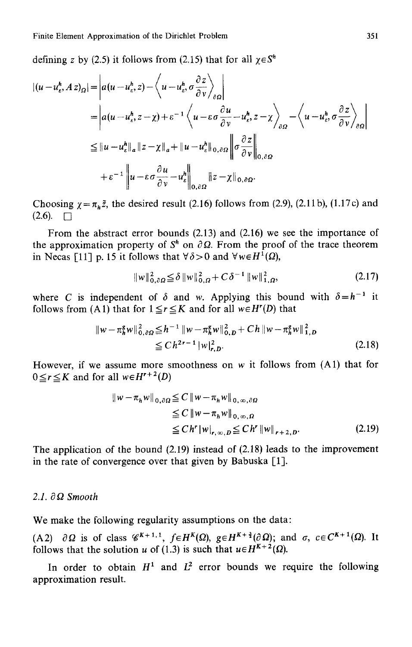defining z by (2.5) it follows from (2.15) that for all  $\chi \in S^n$ 

$$
\begin{split} |(u - u_t^h, Az)_{\Omega}| &= \left| a(u - u_t^h, z) - \left\langle u - u_t^h, \sigma \frac{\partial z}{\partial v} \right\rangle_{\partial \Omega} \right| \\ &= \left| a(u - u_t^h, z - \chi) + \varepsilon^{-1} \left\langle u - \varepsilon \sigma \frac{\partial u}{\partial v} - u_t^h, z - \chi \right\rangle_{\partial \Omega} - \left\langle u - u_t^h, \sigma \frac{\partial z}{\partial v} \right\rangle_{\partial \Omega} \right| \\ &\leq \|u - u_t^h\|_{a} \|z - \chi\|_{a} + \|u - u_t^h\|_{0, \partial \Omega} \left\| \sigma \frac{\partial z}{\partial v} \right\|_{0, \partial \Omega} \\ &+ \varepsilon^{-1} \left\| u - \varepsilon \sigma \frac{\partial u}{\partial v} - u_t^h \right\|_{0, \partial \Omega} \|z - \chi\|_{0, \partial \Omega} .\end{split}
$$

Choosing  $\chi = \pi_h \tilde{z}$ , the desired result (2.16) follows from (2.9), (2.11 b), (1.17 c) and  $(2.6)$ .  $\Box$ 

From the abstract error bounds (2.13) and (2.16) we see the importance of the approximation property of  $S<sup>h</sup>$  on  $\partial \Omega$ . From the proof of the trace theorem in Necas [11] p. 15 it follows that  $\forall \delta > 0$  and  $\forall w \in H^{1}(\Omega)$ ,

$$
||w||_{0,\partial\Omega}^2 \le \delta ||w||_{0,\Omega}^2 + C\delta^{-1} ||w||_{1,\Omega}^2, \tag{2.17}
$$

where C is independent of  $\delta$  and w. Applying this bound with  $\delta = h^{-1}$  it follows from (A1) that for  $1 \le r \le K$  and for all  $w \in H^{r}(D)$  that

$$
\|w - \pi_h^s w\|_{0,\partial\Omega}^2 \leq h^{-1} \|w - \pi_h^s w\|_{0,D}^2 + Ch \|w - \pi_h^s w\|_{1,D}^2
$$
  
\n
$$
\leq Ch^{2r-1} \|w\|_{r,D}^2.
$$
\n(2.18)

However, if we assume more smoothness on  $w$  it follows from  $(A1)$  that for  $0 \leq r \leq K$  and for all  $w \in H^{r+2}(D)$ 

$$
\|w - \pi_h w\|_{0,\partial\Omega} \leq C \|w - \pi_h w\|_{0,\infty,\partial\Omega}
$$
  
\n
$$
\leq C \|w - \pi_h w\|_{0,\infty,\Omega}
$$
  
\n
$$
\leq C h^r \|w\|_{r,\infty,D} \leq C h^r \|w\|_{r+2,D}.
$$
\n(2.19)

The application of the bound (2.19) instead of (2.18) leads to the improvement in the rate of convergence over that given by Babuska [1].

## 2.1. ∂Ω Smooth

We make the following regularity assumptions on the data:

(A2)  $\partial \Omega$  is of class  $\mathscr{C}^{K+1,1}$ ,  $f \in H^{K}(\Omega)$ ,  $g \in H^{K+\frac{3}{2}}(\partial \Omega)$ ; and  $\sigma$ ,  $c \in C^{K+1}(\Omega)$ . It follows that the solution u of (1.3) is such that  $u \in H^{K+2}(\Omega)$ .

In order to obtain  $H^1$  and  $L^2$  error bounds we require the following approximation result.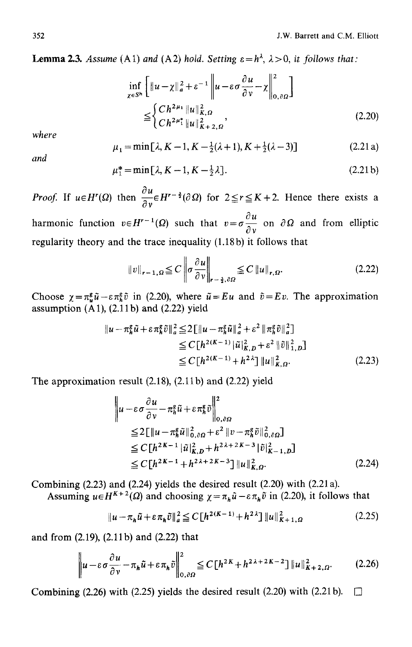**Lemma 2.3.** *Assume* (A1) *and* (A2) *hold.* Setting  $\varepsilon = h^{\lambda}$ ,  $\lambda > 0$ , *it follows that:* 

$$
\inf_{\chi \in S^{h}} \left[ \|u - \chi\|_{a}^{2} + \varepsilon^{-1} \left\| u - \varepsilon \sigma \frac{\partial u}{\partial v} - \chi \right\|_{0, \partial \Omega}^{2} \right]
$$
\n
$$
\leq \left\{ \frac{C h^{2\mu_{1}} \|u\|_{K, \Omega}^{2}}{C h^{2\mu_{1}^{*}} \|u\|_{K+2, \Omega}^{2}}, \right\}
$$
\n(2.20)

*where* 

$$
\mu_1 = \min[\lambda, K - 1, K - \frac{1}{2}(\lambda + 1), K + \frac{1}{2}(\lambda - 3)]
$$
 (2.21 a)

*and* 

$$
\mu_1^* = \min[\lambda, K - 1, K - \frac{1}{2}\lambda].
$$
 (2.21b)

*Proof.* If  $u \in H^{r}(\Omega)$  then  $\frac{\partial u}{\partial v} \in H^{r-\frac{3}{2}}(\partial \Omega)$  for  $2 \le r \le K+2$ . Hence there exists a  $\partial u$ harmonic function  $v \in H^{r-1}(\Omega)$  such that  $v = \sigma \frac{v}{\Omega}$  on  $\partial \Omega$  and from elliptic

regularity theory and the trace inequality (1.18b) it follows that

$$
||v||_{r-1,\Omega} \leq C \left\| \sigma \frac{\partial u}{\partial v} \right\|_{r-\frac{3}{2},\partial\Omega} \leq C ||u||_{r,\Omega}.
$$
 (2.22)

Choose  $\chi = \pi_u^g \tilde{u} - \varepsilon \pi_h^g \tilde{v}$  in (2.20), where  $\tilde{u} = Eu$  and  $\tilde{v} = Ev$ . The approximation assumption  $(A1)$ ,  $(2.11b)$  and  $(2.22)$  yield

$$
\|u - \pi_h^g \tilde{u} + \varepsilon \pi_h^g \tilde{v}\|_a^2 \le 2 \|[u - \pi_h^g \tilde{u}\|_a^2 + \varepsilon^2 \|\pi_h^g \tilde{v}\|_a^2]
$$
  
\n
$$
\le C [h^{2(K-1)} | \tilde{u}|_{K,D}^2 + \varepsilon^2 \|\tilde{v}\|_{1,D}^2]
$$
  
\n
$$
\le C [h^{2(K-1)} + h^{2\lambda}] \|u\|_{K,\Omega}^2.
$$
\n(2.23)

The approximation result (2.18), (2.11 b) and (2.22) yield

$$
\|u - \varepsilon \sigma \frac{\partial u}{\partial \nu} - \pi_h^s \tilde{u} + \varepsilon \pi_h^s \tilde{v} \|^2_{0, \partial \Omega}
$$
  
\n
$$
\leq 2 \left[ \|u - \pi_h^s \tilde{u}\|^2_{0, \partial \Omega} + \varepsilon^2 \|v - \pi_h^s \tilde{v}\|^2_{0, \partial \Omega} \right]
$$
  
\n
$$
\leq C \left[ h^{2K-1} |\tilde{u}|^2_{K, D} + h^{2\lambda + 2K - 3} |\tilde{v}|^2_{K-1, D} \right]
$$
  
\n
$$
\leq C \left[ h^{2K-1} + h^{2\lambda + 2K - 3} \right] \|u\|^2_{K, \Omega}. \tag{2.24}
$$

Combining (2.23) and (2.24) yields the desired result (2.20) with (2.21 a). Assuming  $u \in H^{K+2}(\Omega)$  and choosing  $\chi = \pi_h \tilde{u} - \varepsilon \pi_h \tilde{v}$  in (2.20), it follows that

$$
||u - \pi_h \tilde{u} + \varepsilon \pi_h \tilde{v}||_a^2 \le C \left[ h^{2(K-1)} + h^{2\lambda} \right] ||u||_{K+1,\Omega}^2
$$
 (2.25)

and from (2.19), (2.11b) and (2.22) that

$$
\left\| u - \varepsilon \sigma \frac{\partial u}{\partial \nu} - \pi_h \tilde{u} + \varepsilon \pi_h \tilde{v} \right\|_{0, \partial \Omega}^2 \le C \left[ h^{2K} + h^{2\lambda + 2K - 2} \right] \| u \|_{K+2, \Omega}^2. \tag{2.26}
$$

Combining (2.26) with (2.25) yields the desired result (2.20) with (2.21b).  $\Box$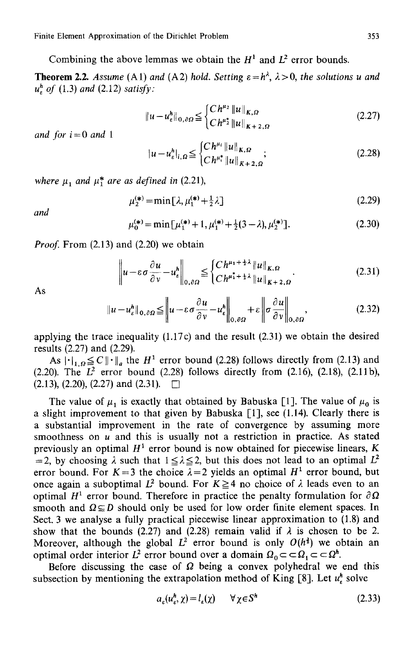Combining the above lemmas we obtain the  $H<sup>1</sup>$  and  $L<sup>2</sup>$  error bounds.

**Theorem 2.2.** Assume (A1) and (A2) hold. Setting  $\varepsilon = h^{\lambda}$ ,  $\lambda > 0$ , the solutions u and *uh~ of* (1.3) *and* (2.12) *satisfy:* 

$$
||u - u_{\varepsilon}^{h}||_{0,\partial\Omega} \leq \begin{cases} Ch^{\mu_2} ||u||_{K,\Omega} \\ Ch^{\mu_2^*} ||u||_{K+2,\Omega} \end{cases}
$$
 (2.27)

*and for i= 0 and 1* 

$$
|u - u_{\varepsilon}^{h}|_{i,\Omega} \leq \begin{cases} Ch^{\mu_{i}} \|u\|_{K,\Omega} \\ Ch^{\mu_{i}^{*}} \|u\|_{K+2,\Omega} \end{cases}
$$
 (2.28)

where  $\mu_1$  and  $\mu_1^*$  are as defined in (2.21),

$$
\mu_2^{(*)} = \min[\lambda, \mu_1^{(*)} + \frac{1}{2}\lambda] \tag{2.29}
$$

*and* 

$$
\mu_0^{(*)} = \min[\mu_1^{(*)} + 1, \mu_1^{(*)} + \frac{1}{2}(3 - \lambda), \mu_2^{(*)}].
$$
 (2.30)

*Proof.* From (2.13) and (2.20) we obtain

$$
\left\| u - \varepsilon \sigma \frac{\partial u}{\partial v} - u_{\varepsilon}^{h} \right\|_{0, \partial \Omega} \leq \begin{cases} Ch^{\mu_{1} + \frac{1}{2}\lambda} \| u \|_{K, \Omega} \\ Ch^{\mu_{1}^{*} + \frac{1}{2}\lambda} \| u \|_{K+2, \Omega} \end{cases}
$$
 (2.31)

As

$$
\|u - u_{\varepsilon}^{h}\|_{0, \partial \Omega} \leq \left\|u - \varepsilon \sigma \frac{\partial u}{\partial \nu} - u_{\varepsilon}^{h}\right\|_{0, \partial \Omega} + \varepsilon \left\|\sigma \frac{\partial u}{\partial \nu}\right\|_{0, \partial \Omega}, \tag{2.32}
$$

applying the trace inequality (1.17c) and the result (2.31) we obtain the desired results (2.27) and (2.29).

As  $\|\cdot\|_{1,\Omega} \leq C \|\cdot\|_{a}$  the  $H^1$  error bound (2.28) follows directly from (2.13) and (2.20). The  $L^2$  error bound (2.28) follows directly from (2.16), (2.18), (2.11b),  $(2.13)$ ,  $(2.20)$ ,  $(2.27)$  and  $(2.31)$ .  $\Box$ 

The value of  $\mu_1$  is exactly that obtained by Babuska [1]. The value of  $\mu_0$  is a slight improvement to that given by Babuska [1], see (l.14). Clearly there is a substantial improvement in the rate of convergence by assuming more smoothness on  $u$  and this is usually not a restriction in practice. As stated previously an optimal  $H^1$  error bound is now obtained for piecewise linears, K =2, by choosing  $\lambda$  such that  $1 \leq \lambda \leq 2$ , but this does not lead to an optimal  $L^2$ error bound. For  $K=3$  the choice  $\lambda=2$  yields an optimal  $H^1$  error bound, but once again a suboptimal  $L^2$  bound. For  $K \geq 4$  no choice of  $\lambda$  leads even to an optimal  $H^1$  error bound. Therefore in practice the penalty formulation for  $\partial \Omega$ smooth and  $\Omega \subseteq D$  should only be used for low order finite element spaces. In Sect. 3 we analyse a fully practical piecewise linear approximation to (1.8) and show that the bounds (2.27) and (2.28) remain valid if  $\lambda$  is chosen to be 2. Moreover, although the global  $L^2$  error bound is only  $O(h^2)$  we obtain an optimal order interior  $L^2$  error bound over a domain  $\Omega_0 \subset \subset \Omega_1 \subset \subset \Omega^h$ .

Before discussing the case of  $\Omega$  being a convex polyhedral we end this subsection by mentioning the extrapolation method of King  $[8]$ . Let  $u_{\varepsilon}^{h}$  solve

$$
a_{\varepsilon}(u_{\varepsilon}^h, \chi) = l_{\varepsilon}(\chi) \qquad \forall \chi \in S^h \tag{2.33}
$$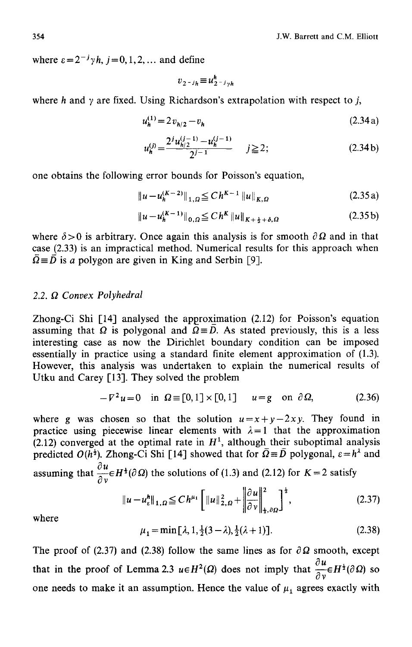where  $\varepsilon = 2^{-j} \gamma h$ ,  $j = 0, 1, 2, \dots$  and define

$$
v_{2-j_h} \equiv u_{2-j_2h}^h
$$

where h and  $\gamma$  are fixed. Using Richardson's extrapolation with respect to j,

$$
u_h^{(1)} = 2v_{h/2} - v_h \tag{2.34a}
$$

$$
u_h^{(j)} = \frac{2^j u_{h/2}^{(j-1)} - u_h^{(j-1)}}{2^{j-1}} \qquad j \ge 2;
$$
 (2.34b)

one obtains the following error bounds for Poisson's equation,

$$
\|u - u_h^{(K-2)}\|_{1,\Omega} \le C h^{K-1} \|u\|_{K,\Omega}
$$
\n(2.35a)

$$
\|u - u_h^{(K-1)}\|_{0,\Omega} \le C h^K \|u\|_{K + \frac{1}{2} + \delta, \Omega}
$$
 (2.35b)

where  $\delta > 0$  is arbitrary. Once again this analysis is for smooth  $\partial \Omega$  and in that case (2.33) is an impractical method. Numerical results for this approach when  $\overline{\Omega} = \overline{D}$  is a polygon are given in King and Serbin [9].

## *2.2. f2 Convex Polyhedral*

Zhong-Ci Shi  $\lceil 14 \rceil$  analysed the approximation (2.12) for Poisson's equation assuming that  $\Omega$  is polygonal and  $\Omega = D$ . As stated previously, this is a less interesting case as now the Dirichlet boundary condition can be imposed essentially in practice using a standard finite element approximation of (1.3). However, this analysis was undertaken to explain the numerical results of Utku and Carey [13]. They solved the problem

$$
-V^2u = 0 \quad \text{in } \Omega \equiv [0,1] \times [0,1] \qquad u = g \quad \text{on } \partial \Omega,\tag{2.36}
$$

where g was chosen so that the solution  $u=x+y-2xy$ . They found in practice using piecewise linear elements with  $\lambda = 1$  that the approximation (2.12) converged at the optimal rate in  $H<sup>1</sup>$ , although their suboptimal analysis predicted  $O(h^{\frac{1}{2}})$ . Zhong-Ci Shi [14] showed that for  $\overline{Q} = \overline{D}$  polygonal,  $\varepsilon = h^{\lambda}$  and assuming that  $\frac{\partial u}{\partial t} \in H^{\frac{1}{2}}(\partial \Omega)$  the solutions of (1.3) and (2.12) for K = 2 satisfy

$$
\|u - u_{\varepsilon}^{h}\|_{1,\Omega} \leq C h^{\mu_1} \left[ \|u\|_{2,\Omega}^2 + \left\| \frac{\partial u}{\partial v} \right\|_{1,\partial\Omega}^2 \right]^{\frac{1}{2}},
$$
\n(2.37)

where

$$
\mu_1 = \min[\lambda, 1, \frac{1}{2}(3 - \lambda), \frac{1}{2}(\lambda + 1)].
$$
\n(2.38)

The proof of (2.37) and (2.38) follow the same lines as for  $\partial \Omega$  smooth, except that in the proof of Lemma 2.3  $u \in H^2(\Omega)$  does not imply that  $\frac{\partial u}{\partial v} \in H^{\frac{1}{2}}(\partial \Omega)$  so one needs to make it an assumption. Hence the value of  $\mu_1$  agrees exactly with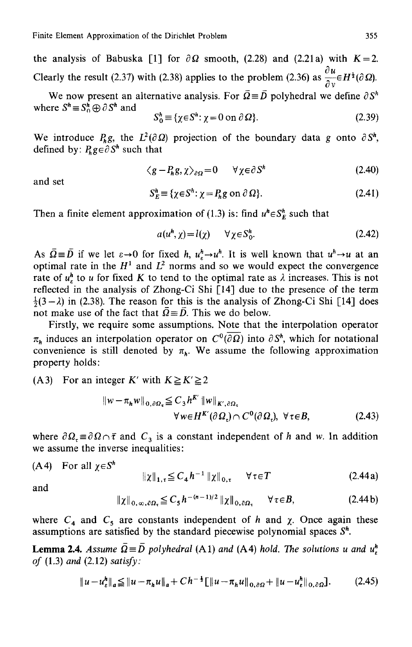the analysis of Babuska [1] for  $\partial \Omega$  smooth, (2.28) and (2.21a) with K=2. du Clearly the result (2.37) with (2.38) applies to the problem (2.36) as  $\frac{1}{2} \in H^{\frac{1}{2}}(\partial \Omega)$ .

We now present an alternative analysis. For  $\overline{Q} = \overline{D}$  polyhedral we define  $\partial S^h$ where  $S^h \equiv S^h \oplus \partial S^h$  and

$$
S_0^h \equiv \{ \chi \in S^h : \chi = 0 \text{ on } \partial \Omega \}. \tag{2.39}
$$

We introduce  $P_h g$ , the  $L^2(\partial \Omega)$  projection of the boundary data g onto  $\partial S^h$ , defined by:  $P_k g \in \partial S^h$  such that

$$
\langle g - P_h g, \chi \rangle_{\partial \Omega} = 0 \qquad \forall \chi \in \partial S^h \tag{2.40}
$$

and set

$$
S_E^n \equiv \{ \chi \in S^h : \chi = P_h g \text{ on } \partial \Omega \}. \tag{2.41}
$$

Then a finite element approximation of (1.3) is: find  $u^h \in S_F^h$  such that

$$
a(u^h, \chi) = l(\chi) \qquad \forall \chi \in S_0^h. \tag{2.42}
$$

As  $\overline{\Omega} = \overline{D}$  if we let  $\varepsilon \to 0$  for fixed *h*,  $u_n^h \to u^h$ . It is well known that  $u^h \to u$  at an optimal rate in the  $H^1$  and  $L^2$  norms and so we would expect the convergence rate of  $u_{\varepsilon}^{h}$  to u for fixed K to tend to the optimal rate as  $\lambda$  increases. This is not reflected in the analysis of Zhong-Ci Shi [14] due to the presence of the term  $\frac{1}{2}(3 - \lambda)$  in (2.38). The reason for this is the analysis of Zhong-Ci Shi [14] does not make use of the fact that  $\Omega = D$ . This we do below.

Firstly, we require some assumptions. Note that the interpolation operator  $\pi_h$  induces an interpolation operator on  $C^0(\overline{\partial\Omega})$  into  $\partial S^h$ , which for notational convenience is still denoted by  $\pi_{\mathbf{k}}$ . We assume the following approximation property holds:

(A3) For an integer *K'* with  $K \ge K' \ge 2$ 

$$
\|w - \pi_h w\|_{0, \partial \Omega_{\tau}} \leq C_3 h^{K'} \|w\|_{K', \partial \Omega_{\tau}}
$$
  
 
$$
\forall w \in H^{K'}(\partial \Omega_{\tau}) \cap C^0(\partial \Omega_{\tau}), \ \forall \tau \in B,
$$
 (2.43)

where  $\partial \Omega = \partial \Omega \cap \bar{\tau}$  and  $C_3$  is a constant independent of h and w. In addition we assume the inverse inequalities:

(A4) For all 
$$
\chi \in S^h
$$

$$
\|\chi\|_{1,\tau} \leq C_4 h^{-1} \|\chi\|_{0,\tau} \quad \forall \tau \in T
$$
 (2.44a)

and

$$
\|\chi\|_{0,\,\infty,\,\partial\Omega_{\tau}} \leqq C_5 h^{-(n-1)/2} \|\chi\|_{0,\,\partial\Omega_{\tau}} \qquad \forall \,\tau \in B,\tag{2.44b}
$$

where  $C_4$  and  $C_5$  are constants independent of h and  $\chi$ . Once again these assumptions are satisfied by the standard piecewise polynomial spaces  $S<sup>h</sup>$ .

**Lemma 2.4.** Assume  $\overline{Q} = \overline{D}$  polyhedral (A1) and (A4) hold. The solutions u and  $u_r^h$ *of* (1.3) *and* (2.12) *satisfy:* 

$$
||u - u_{\varepsilon}^{h}||_{a} \leq ||u - \pi_{h}u||_{a} + Ch^{-\frac{1}{2}}[||u - \pi_{h}u||_{0,\partial\Omega} + ||u - u_{\varepsilon}^{h}||_{0,\partial\Omega}].
$$
 (2.45)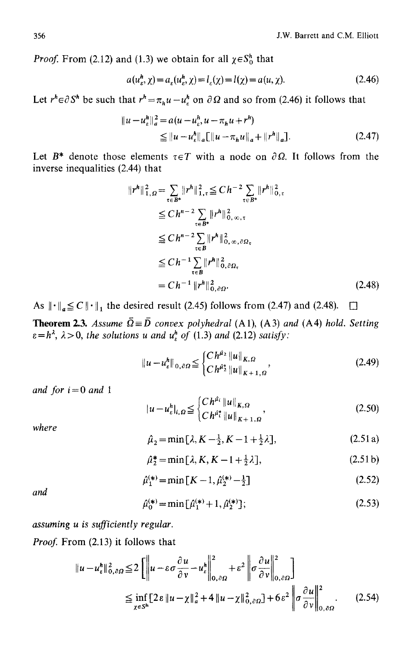*Proof.* From (2.12) and (1.3) we obtain for all  $\chi \in S_0^h$  that

$$
a(u_e^h, \chi) = a_e(u_e^h, \chi) = l_e(\chi) = l(\chi) = a(u, \chi).
$$
 (2.46)

Let  $r^h \in \partial S^h$  be such that  $r^h = \pi_h u - u^h$  on  $\partial \Omega$  and so from (2.46) it follows that

$$
||u - u\ellh||a2 = a(u - u\ellh, u - \pihu + rh)
$$
  
\n
$$
\leq ||u - u\ellh||a [||u - \pihu||a + ||rh||a].
$$
\n(2.47)

Let  $B^*$  denote those elements  $\tau \in T$  with a node on  $\partial \Omega$ . It follows from the inverse inequalities (2.44) that

$$
||r^{h}||_{1,\Omega}^{2} = \sum_{\tau \in B^{*}} ||r^{h}||_{1,\tau}^{2} \leq C h^{-2} \sum_{\tau \in B^{*}} ||r^{h}||_{0,\tau}^{2}
$$
  
\n
$$
\leq C h^{n-2} \sum_{\tau \in B^{*}} ||r^{h}||_{0,\infty,\tau}^{2}
$$
  
\n
$$
\leq C h^{n-2} \sum_{\tau \in B} ||r^{h}||_{0,\infty,\partial\Omega_{\tau}}^{2}
$$
  
\n
$$
\leq C h^{-1} \sum_{\tau \in B} ||r^{h}||_{0,\partial\Omega_{\tau}}^{2}
$$
  
\n
$$
= C h^{-1} ||r^{h}||_{0,\partial\Omega_{\tau}}^{2}
$$
\n(2.48)

As  $\|\cdot\|_q \leq C \|\cdot\|_1$  the desired result (2.45) follows from (2.47) and (2.48).  $\Box$ 

**Theorem 2.3.** Assume  $\overline{\Omega} \equiv \overline{D}$  convex polyhedral (A1), (A3) and (A4) hold. Setting  $\varepsilon = h^{\lambda}$ ,  $\lambda > 0$ , the solutions u and  $u_{\varepsilon}^{h}$  of (1.3) and (2.12) satisfy:

$$
||u - u_{\varepsilon}^{h}||_{0, \partial \Omega} \leq \begin{cases} C h^{\hat{\mu}_{2}} ||u||_{K, \Omega} \\ C h^{\hat{\mu}_{2}^{*}} ||u||_{K+1, \Omega} \end{cases}
$$
 (2.49)

*and for i= 0 and 1* 

$$
|u - u_{\varepsilon}^{h}|_{i,\Omega} \leq \begin{cases} C h^{\tilde{\mu}_{i}} \|u\|_{K,\Omega} \\ C h^{\tilde{\mu}_{i}^{*}} \|u\|_{K+1,\Omega} \end{cases}
$$
 (2.50)

*where* 

$$
\hat{\mu}_2 = \min[\lambda, K - \frac{1}{2}, K - 1 + \frac{1}{2}\lambda],
$$
\n(2.51 a)

$$
\hat{\mu}_2^* = \min\left[\lambda, K, K - 1 + \frac{1}{2}\lambda\right],\tag{2.51b}
$$

$$
\hat{\mu}_1^{(*)} = \min\left[K - 1, \hat{\mu}_2^{(*)} - \frac{1}{2}\right] \tag{2.52}
$$

*and* 

$$
\hat{\mu}_0^{(*)} = \min[\hat{\mu}_1^{(*)} + 1, \hat{\mu}_2^{(*)}];\tag{2.53}
$$

*assuming u is sufficiently regular.* 

*Proof.* From (2.13) it follows that

$$
\|u - u_{\varepsilon}^h\|_{0,\partial\Omega}^2 \le 2 \left[ \left\| u - \varepsilon \sigma \frac{\partial u}{\partial v} - u_{\varepsilon}^h \right\|_{0,\partial\Omega}^2 + \varepsilon^2 \left\| \sigma \frac{\partial u}{\partial v} \right\|_{0,\partial\Omega}^2 \right]
$$
  
\n
$$
\le \inf_{\chi \in S^h} \left[ 2\varepsilon \left\| u - \chi \right\|_{a}^2 + 4 \left\| u - \chi \right\|_{0,\partial\Omega}^2 \right] + 6\varepsilon^2 \left\| \sigma \frac{\partial u}{\partial v} \right\|_{0,\partial\Omega}^2.
$$
 (2.54)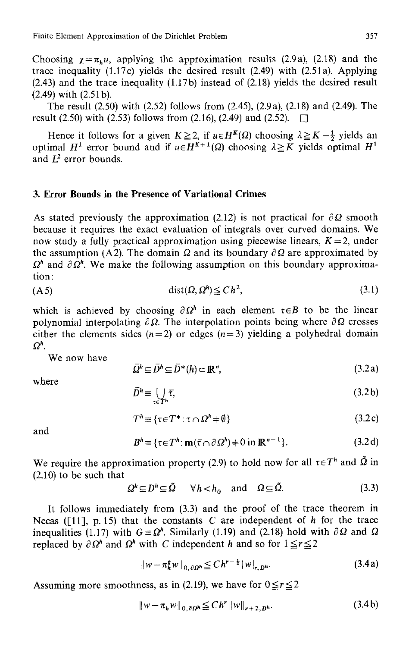Choosing  $\gamma = \pi_h u$ , applying the approximation results (2.9a), (2.18) and the trace inequality  $(1.17c)$  yields the desired result  $(2.49)$  with  $(2.51a)$ . Applying (2.43) and the trace inequality (1.17b) instead of (2.18) yields the desired result (2.49) with (2.51 b).

The result (2.50) with (2.52) follows from (2.45), (2.9a), (2.18) and (2.49). The result (2.50) with (2.53) follows from (2.16), (2.49) and (2.52).  $\Box$ 

Hence it follows for a given  $K \ge 2$ , if  $u \in H^{K}(\Omega)$  choosing  $\lambda \ge K-\frac{1}{2}$  yields an optimal  $H^1$  error bound and if  $u \in H^{K+1}(\Omega)$  choosing  $\lambda \geq K$  yields optimal  $H^1$ and  $I^2$  error bounds.

# **3. Error Bounds in the Presence of Variational Crimes**

As stated previously the approximation (2.12) is not practical for  $\partial \Omega$  smooth because it requires the exact evaluation of integrals over curved domains. We now study a fully practical approximation using piecewise linears,  $K = 2$ , under the assumption (A2). The domain  $\Omega$  and its boundary  $\partial \Omega$  are approximated by  $\Omega^h$  and  $\partial \Omega^h$ . We make the following assumption on this boundary approximation:

(A5) dist(O, *Oh)<= Ch 2,* (3.1)

which is achieved by choosing  $\partial \Omega^h$  in each element  $\tau \in B$  to be the linear polynomial interpolating  $\partial \Omega$ . The interpolation points being where  $\partial \Omega$  crosses either the elements sides ( $n=2$ ) or edges ( $n=3$ ) yielding a polyhedral domain  $Q^n$ .

We now have

$$
\bar{\Omega}^h \subseteq \bar{D}^h \subseteq \bar{D}^*(h) \subset \mathbb{R}^n,\tag{3.2a}
$$

where

$$
\bar{D}^h \equiv \bigcup_{r \in T^h} \bar{\tau},\tag{3.2b}
$$

$$
T^h \equiv \{ \tau \in T^* : \tau \cap \Omega^h \neq \emptyset \}
$$
 (3.2c)

and

$$
Bh \equiv \{ \tau \in Th : \mathbf{m}(\bar{\tau} \cap \partial \Omega^h) \neq 0 \text{ in } \mathbb{R}^{n-1} \}. \tag{3.2d}
$$

We require the approximation property (2.9) to hold now for all  $\tau \in T^h$  and  $\tilde{\Omega}$  in (2.10) to be such that

$$
\Omega^h \subseteq D^h \subseteq \Omega \quad \forall h < h_0 \quad \text{and} \quad \Omega \subseteq \Omega. \tag{3.3}
$$

It follows immediately from (3.3) and the proof of the trace theorem in Necas ( $[11]$ , p. 15) that the constants C are independent of h for the trace inequalities (1.17) with  $G \equiv \Omega^h$ . Similarly (1.19) and (2.18) hold with  $\partial \Omega$  and  $\Omega$ replaced by  $\partial \Omega^h$  and  $\Omega^h$  with C independent h and so for  $1 \le r \le 2$ 

$$
\|w - \pi_h^g w\|_{0,\partial\Omega^h} \leq Ch^{r-\frac{1}{2}} |w|_{r,D^h}.
$$
\n(3.4a)

Assuming more smoothness, as in (2.19), we have for  $0 \le r \le 2$ 

$$
\|w - \pi_h w\|_{0, \partial \Omega^h} \leq C h^r \|w\|_{r+2, D^h}.
$$
 (3.4b)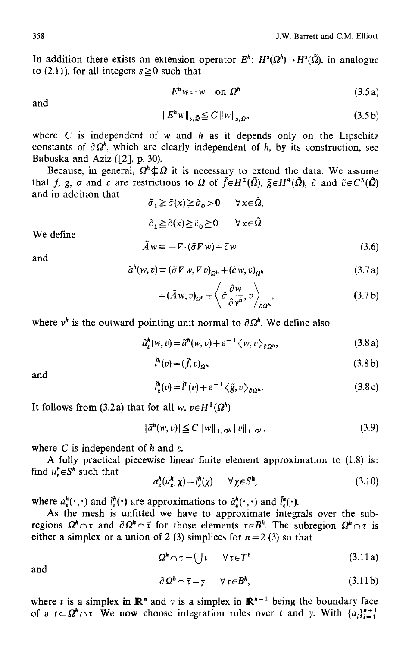In addition there exists an extension operator  $E^h$ :  $H^s(\Omega^h) \to H^s(\tilde{\Omega})$ , in analogue to (2.11), for all integers  $s \ge 0$  such that

$$
E^h w = w \quad \text{on } \Omega^h \tag{3.5a}
$$

and

$$
\|E^h w\|_{s,\tilde{\Omega}} \leq C \|w\|_{s,\Omega^h} \tag{3.5b}
$$

where  $C$  is independent of  $w$  and  $h$  as it depends only on the Lipschitz constants of  $\partial \Omega^h$ , which are clearly independent of h, by its construction, see Babuska and Aziz ([2], p. 30).

Because, in general,  $\Omega^h \not\subseteq \Omega$  it is necessary to extend the data. We assume that f, g,  $\sigma$  and c are restrictions to  $\Omega$  of  $\tilde{f} \in H^2(\tilde{\Omega})$ ,  $\tilde{g} \in H^4(\tilde{\Omega})$ ,  $\tilde{\sigma}$  and  $\tilde{c} \in C^3(\tilde{\Omega})$ and in addition that

 $\tilde{\sigma}_1 \geq \tilde{\sigma}(x) \geq \tilde{\sigma}_0 > 0 \quad \forall x \in \tilde{\Omega},$  $\tilde{c}_1 \geq \tilde{c}(x) \geq \tilde{c}_0 \geq 0 \quad \forall x \in \tilde{\Omega}.$ 

We define

$$
\tilde{A}w \equiv -\mathbf{F} \cdot (\tilde{\sigma} \mathbf{F} w) + \tilde{c} w \tag{3.6}
$$

and

$$
\tilde{a}^{h}(w,v) \equiv (\tilde{\sigma} \nabla w, \nabla v)_{\Omega^{h}} + (\tilde{c} w, v)_{\Omega^{h}}
$$
\n(3.7a)

$$
= (\tilde{A} w, v)_{\Omega^h} + \left\langle \tilde{\sigma} \frac{\partial w}{\partial v^h}, v \right\rangle_{\partial \Omega^h}, \tag{3.7b}
$$

where  $v^h$  is the outward pointing unit normal to  $\partial \Omega^h$ . We define also

$$
\tilde{a}_{\varepsilon}^{h}(w,v) = \tilde{a}^{h}(w,v) + \varepsilon^{-1} \langle w,v \rangle_{\partial \Omega^{h}}, \qquad (3.8a)
$$

$$
\tilde{l}^h(v) = (\tilde{f}, v)_{\Omega^h} \tag{3.8b}
$$

and

$$
\tilde{l}_{\varepsilon}^{h}(v) = \tilde{l}^{h}(v) + \varepsilon^{-1} \langle \tilde{g}, v \rangle_{\partial \Omega^{h}}.
$$
\n(3.8c)

It follows from (3.2a) that for all *w*,  $v \in H^1(\Omega^h)$ 

$$
|\tilde{a}^h(w,v)| \le C \|w\|_{1,\Omega^h} \|v\|_{1,\Omega^h},\tag{3.9}
$$

where C is independent of h and  $\varepsilon$ .

A fully practical piecewise linear finite element approximation to (1.8) is: find  $u^h \in S^h$  such that

$$
a_{\varepsilon}^{h}(u_{\varepsilon}^{h}, \chi) = l_{\varepsilon}^{h}(\chi) \qquad \forall \chi \in S^{h}, \tag{3.10}
$$

where  $a_r^h(\cdot,\cdot)$  and  $l_s^h(\cdot)$  are approximations to  $\tilde{a}_r^h(\cdot,\cdot)$  and  $\tilde{l}_s^h(\cdot)$ .

As the mesh is unfitted we have to approximate integrals over the subregions  $\Omega^h \cap \tau$  and  $\partial \Omega^h \cap \bar{\tau}$  for those elements  $\tau \in B^h$ . The subregion  $\Omega^h \cap \tau$  is either a simplex or a union of 2 (3) simplices for  $n = 2$  (3) so that

$$
\Omega^h \cap \tau = ( )t \qquad \forall \tau \in T^h \tag{3.11a}
$$

and

$$
\partial \Omega^h \cap \overline{\tau} = \gamma \qquad \forall \tau \in B^h, \tag{3.11b}
$$

where t is a simplex in  $\mathbb{R}^n$  and  $\gamma$  is a simplex in  $\mathbb{R}^{n-1}$  being the boundary face of a  $t\subset \Omega^h \cap \tau$ . We now choose integration rules over t and y. With  $\{a_i\}_{i=1}^{n+1}$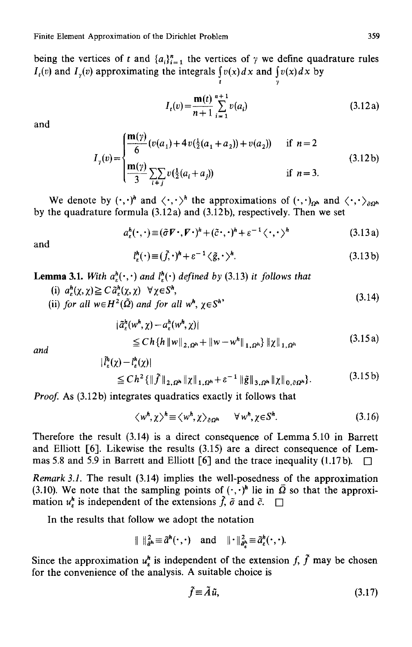being the vertices of t and  $\{a_i\}_{i=1}^n$  the vertices of  $\gamma$  we define quadrature rules *I<sub>t</sub>(v)* and *I<sub>y</sub>(v)* approximating the integrals  $\int v(x)dx$  and  $\int v(x)dx$  by

$$
I_{t}(v) = \frac{\mathbf{m}(t)}{n+1} \sum_{i=1}^{n+1} v(a_{i})
$$
 (3.12a)

t y

and

$$
I_{\gamma}(v) = \begin{cases} \frac{\mathbf{m}(\gamma)}{6} (v(a_1) + 4v(\frac{1}{2}(a_1 + a_2)) + v(a_2)) & \text{if } n = 2\\ \frac{\mathbf{m}(\gamma)}{3} \sum_{i \neq j} v(\frac{1}{2}(a_i + a_j)) & \text{if } n = 3. \end{cases}
$$
(3.12b)

We denote by  $(\cdot,\cdot)^h$  and  $\langle \cdot,\cdot \rangle^h$  the approximations of  $(\cdot,\cdot)_{\text{on}}$  and  $\langle \cdot,\cdot \rangle_{\text{on}}$ by the quadrature formula (3.12a) and (3.12b), respectively. Then we set

$$
a_{\varepsilon}^{h}(\cdot,\cdot)\equiv(\tilde{\sigma}V\cdot,V\cdot)^{h}+(\tilde{c}\cdot,\cdot)^{h}+\varepsilon^{-1}\langle\cdot,\cdot\rangle^{h}
$$
\n(3.13a)

and

$$
l_{\varepsilon}^{h}(\cdot) \equiv (\tilde{f}, \cdot)^{h} + \varepsilon^{-1} \langle \tilde{g}, \cdot \rangle^{h}.
$$
 (3.13 b)

**Lemma 3.1.** *With*  $a_k^h(\cdot, \cdot)$  *and*  $l_k^h(\cdot)$  *defined by* (3.13) *it follows that* 

(i)  $a_r^h(\chi,\chi) \geq C \tilde{a}_r^h(\chi,\chi) \quad \forall \chi \in S^h$ , (i)  $\alpha_{\varepsilon}(\lambda, \lambda) \equiv \alpha_{\varepsilon}(\lambda, \lambda)$   $\lambda > 0$ ,<br>
(ii) for all  $w \in H^2(\tilde{\Omega})$  and for all  $w^h$ ,  $\chi \in S^h$ <sup>,</sup>

$$
\begin{aligned} |\tilde{a}_{\varepsilon}^{h}(w^{h}, \chi) - a_{\varepsilon}^{h}(w^{h}, \chi)| \\ &\leq Ch \{h \, \|w\|_{2, \Omega^{h}} + \|w - w^{h}\|_{1, \Omega^{h}} \} \, \|\chi\|_{1, \Omega^{h}} \end{aligned} \tag{3.15a}
$$

*and* 

$$
|\tilde{l}_{\varepsilon}^{h}(\chi) - l_{\varepsilon}^{h}(\chi)|
$$
\n
$$
\leq Ch^{2} \{ \|\tilde{f}\|_{2,\Omega^{h}} \|\chi\|_{1,\Omega^{h}} + \varepsilon^{-1} \|\tilde{g}\|_{3,\Omega^{h}} \|\chi\|_{0,\partial\Omega^{h}} \}.
$$
\n(3.15b)

*Proof.* As (3.12b) integrates quadratics exactly it follows that

$$
\langle w^n, \chi \rangle^h \equiv \langle w^n, \chi \rangle_{\partial \Omega^h} \qquad \forall w^n, \chi \in S^h. \tag{3.16}
$$

Therefore the result (3.14) is a direct consequence of Lemma 5.10 in Barrett and Elliott [6]. Likewise the results (3.15) are a direct consequence of Lemmas 5.8 and 5.9 in Barrett and Elliott  $[6]$  and the trace inequality (1.17b).

*Remark 3.1.* The result (3.14) implies the well-posedness of the approximation (3.10). We note that the sampling points of  $(\cdot, \cdot)^h$  lie in  $\overline{\Omega}$  so that the approximation  $u_{\varepsilon}^{h}$  is independent of the extensions  $\tilde{f}$ ,  $\tilde{\sigma}$  and  $\tilde{c}$ .

In the results that follow we adopt the notation

$$
\|\ \|_{\tilde{a}^h}^2 \equiv \tilde{a}^h(\cdot, \cdot) \quad \text{and} \quad \|\cdot\|_{\tilde{a}^h}^2 \equiv \tilde{a}^h_{\varepsilon}(\cdot, \cdot).
$$

Since the approximation  $u^h_{\varepsilon}$  is independent of the extension f,  $\tilde{f}$  may be chosen for the convenience of the analysis. A suitable choice is

$$
\tilde{f} \equiv \tilde{A}\tilde{u},\tag{3.17}
$$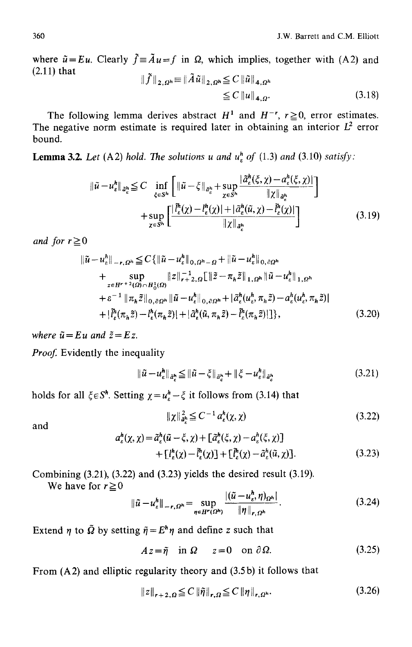where  $\tilde{u} = Eu$ . Clearly  $\tilde{f} = \tilde{A}u = f$  in  $\Omega$ , which implies, together with (A2) and (2.11) that  $\|\tilde{f}\|_{2,0h} \equiv \|\tilde{A}\tilde{u}\|_{2,0h} \leq C \|\tilde{u}\|_{4,0h}$ 

$$
\leq C \left\| u \right\|_{4,\Omega}.\tag{3.18}
$$

The following lemma derives abstract  $H^1$  and  $H^{-r}$ ,  $r \ge 0$ , error estimates. The negative norm estimate is required later in obtaining an interior  $L^2$  error bound.

**Lemma 3.2.** *Let* (A2) *hold. The solutions u and*  $u^h$ *, of* (1.3) *and* (3.10) *satisfy*:

$$
\begin{split} \|\tilde{u} - u_{\varepsilon}^{h}\|_{\tilde{a}_{\varepsilon}^{h}} &\leq C \inf_{\xi \in S^{h}} \left[ \|\tilde{u} - \xi\|_{\tilde{a}_{\varepsilon}^{h}} + \sup_{\chi \in S^{h}} \frac{|\tilde{a}_{\varepsilon}^{h}(\xi, \chi) - a_{\varepsilon}^{h}(\xi, \chi)|}{\|\chi\|_{\tilde{a}_{\varepsilon}^{h}}}\right] \\ &+ \sup_{\chi \in S^{h}} \left[ \frac{|\tilde{l}_{\varepsilon}^{h}(\chi) - l_{\varepsilon}^{h}(\chi)| + |\tilde{a}_{\varepsilon}^{h}(\tilde{u}, \chi) - \tilde{l}_{\varepsilon}^{h}(\chi)|}{\|\chi\|_{\tilde{a}_{\varepsilon}^{h}}}\right] \end{split} \tag{3.19}
$$

*and for*  $r \geq 0$ 

$$
\begin{split} \|\tilde{u} - u_{\varepsilon}^{h}\|_{-r,\Omega^{h}} &\leq C\{\|\tilde{u} - u_{\varepsilon}^{h}\|_{0,\Omega^{h}-\Omega} + \|\tilde{u} - u_{\varepsilon}^{h}\|_{0,\partial\Omega^{h}} \\ &+ \sup_{z \in H^{r+2}(\Omega) \cap H_{0}^{1}(\Omega)} \|z\|_{r+2,\Omega}^{-1} \|\tilde{z} - \pi_{h}\tilde{z}\|_{1,\Omega^{h}} \|\tilde{u} - u_{\varepsilon}^{h}\|_{1,\Omega^{h}} \\ &+ \varepsilon^{-1} \|\pi_{h}\tilde{z}\|_{0,\partial\Omega^{h}} \|\tilde{u} - u_{\varepsilon}^{h}\|_{0,\partial\Omega^{h}} + |\tilde{a}_{\varepsilon}^{h}(u_{\varepsilon}^{h}, \pi_{h}\tilde{z}) - a_{\varepsilon}^{h}(u_{\varepsilon}^{h}, \pi_{h}\tilde{z})| \\ &+ |\tilde{l}_{\varepsilon}^{h}(v_{h}\tilde{z}) - l_{\varepsilon}^{h}(v_{h}\tilde{z})| + |\tilde{a}_{\varepsilon}^{h}(\tilde{u}, \pi_{h}\tilde{z}) - \tilde{l}_{\varepsilon}^{h}(v_{h}\tilde{z})| \}, \end{split} \tag{3.20}
$$

*where*  $\tilde{u} = Eu$  *and*  $\tilde{z} = Ez$ .

*Proof.* Evidently the inequality

$$
\|\tilde{u} - u_{\varepsilon}^{h}\|_{\tilde{a}_{\varepsilon}^{h}} \leq \|\tilde{u} - \xi\|_{\tilde{a}_{\varepsilon}^{h}} + \|\xi - u_{\varepsilon}^{h}\|_{\tilde{a}_{\varepsilon}^{h}}
$$
\n(3.21)

holds for all  $\xi \in S^h$ . Setting  $\chi = u_r^h - \xi$  it follows from (3.14) that

$$
\|\chi\|_{\tilde{a}^h_\varepsilon}^2 \le C^{-1} a^h_\varepsilon(\chi,\chi) \tag{3.22}
$$

and

$$
a_{\varepsilon}^{h}(\chi,\chi) = \tilde{a}_{\varepsilon}^{h}(\tilde{u}-\xi,\chi) + \left[\tilde{a}_{\varepsilon}^{h}(\xi,\chi) - a_{\varepsilon}^{h}(\xi,\chi)\right] + \left[\frac{l_{\varepsilon}^{h}(\chi) - \tilde{l}_{\varepsilon}^{h}(\chi)\right] + \left[\tilde{l}_{\varepsilon}^{h}(\chi) - \tilde{a}_{\varepsilon}^{h}(\tilde{u},\chi)\right].
$$
 (3.23)

Combining (3.21), (3.22) and (3.23) yields the desired result (3.19).

We have for  $r \ge 0$ 

$$
\|\tilde{u} - u_{\varepsilon}^h\|_{-r,\Omega^h} = \sup_{\eta \in H^r(\Omega^h)} \frac{|(\tilde{u} - u_{\varepsilon}^h, \eta)_{\Omega^h}|}{\|\eta\|_{r,\Omega^h}}.
$$
\n(3.24)

Extend  $\eta$  to  $\tilde{\Omega}$  by setting  $\tilde{\eta} = E^h \eta$  and define z such that

 $A z = \tilde{n}$  in  $\Omega$   $z = 0$  on  $\partial \Omega$ . (3.25)

From (A2) and elliptic regularity theory and (3.5 b) it follows that

$$
||z||_{r+2,\Omega} \leq C ||\tilde{\eta}||_{r,\Omega} \leq C ||\eta||_{r,\Omega^h}.
$$
\n(3.26)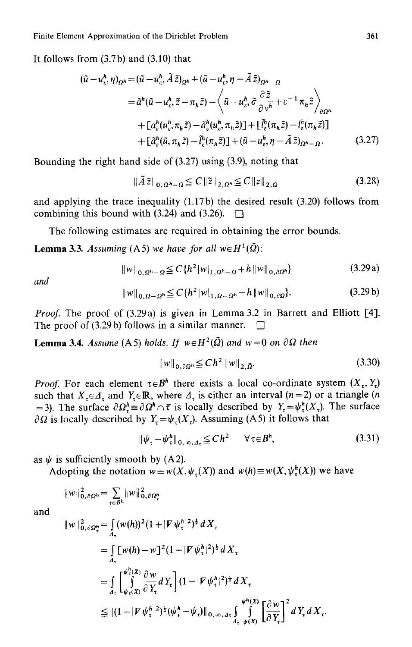It follows from (3.7b) and (3.10) that

$$
(\tilde{u} - u_e^h, \eta)_{\Omega^h} = (\tilde{u} - u_e^h, \tilde{A}\tilde{z})_{\Omega^h} + (\tilde{u} - u_e^h, \eta - \tilde{A}\tilde{z})_{\Omega^h - \Omega}
$$
  
\n
$$
= \tilde{a}^h (\tilde{u} - u_e^h, \tilde{z} - \pi_h \tilde{z}) - \left\langle \tilde{u} - u_e^h, \tilde{\sigma} \frac{\partial \tilde{z}}{\partial v^h} + \varepsilon^{-1} \pi_h \tilde{z} \right\rangle_{\partial \Omega^h}
$$
  
\n
$$
+ \left[ a_e^h (u_e^h, \pi_h \tilde{z}) - \tilde{a}_e^h (u_e^h, \pi_h \tilde{z}) \right] + \left[ \tilde{l}_e^h (\pi_h \tilde{z}) - l_e^h (\pi_h \tilde{z}) \right]
$$
  
\n
$$
+ \left[ \tilde{a}_e^h (\tilde{u}, \pi_h \tilde{z}) - \tilde{l}_e^h (\pi_h \tilde{z}) \right] + (\tilde{u} - u_e^h, \eta - \tilde{A}\tilde{z})_{\Omega^h - \Omega}. \tag{3.27}
$$

Bounding the right hand side of (3.27) using (3.9), noting that

$$
\|\tilde{A}\tilde{z}\|_{0,\Omega^{h_{-}}\Omega} \leq C \|\tilde{z}\|_{2,\Omega^{h}} \leq C \|z\|_{2,\Omega}
$$
\n(3.28)

and applying the trace inequality (1.17b) the desired result (3.20) follows from combining this bound with (3.24) and (3.26).  $\Box$ 

The following estimates are required in obtaining the error bounds.

**Lemma 3.3.** Assuming (A5) we have for all  $w \in H^1(\tilde{\Omega})$ :

$$
||w||_{0,\Omega^h-\Omega} \leq C \{ h^2 |w|_{1,\Omega^h-\Omega} + h ||w||_{0,\partial\Omega^h} \}
$$
\n(3.29a)

*and* 

$$
||w||_{0,\Omega-\Omega^h} \leq C \{ h^2 |w|_{1,\Omega-\Omega^h} + h ||w||_{0,\partial\Omega} \}.
$$
 (3.29b)

*Proof.* The proof of (3.29a) is given in Lemma 3.2 in Barrett and Elliott [4]. The proof of (3.29b) follows in a similar manner.  $\Box$ 

**Lemma 3.4.** *Assume* (A5) *holds. If*  $w \in H^2(\tilde{\Omega})$  *and*  $w = 0$  *on*  $\partial \Omega$  *then* 

$$
\|w\|_{0,\partial\Omega^h} \le C h^2 \|w\|_{2,\bar{\Omega}}.
$$
\n(3.30)

*Proof.* For each element  $\tau \in B^h$  there exists a local co-ordinate system  $(X, Y)$ such that  $X_{\tau} \in \Lambda_{\tau}$  and  $Y_{\tau} \in \mathbb{R}$ , where  $\Lambda_{\tau}$  is either an interval (n = 2) or a triangle (n =3). The surface  $\partial \Omega_i^h \equiv \partial \Omega^h \cap \bar{\tau}$  is locally described by  $Y = \psi_i^h(X_i)$ . The surface  $\partial \Omega$  is locally described by  $Y_t = \psi_t(X_t)$ . Assuming (A5) it follows that

$$
\|\psi_{\tau} - \psi_{\tau}^{h}\|_{0, \infty, A_{\tau}} \leq C h^{2} \qquad \forall \tau \in B^{h}, \tag{3.31}
$$

as  $\psi$  is sufficiently smooth by (A2).

Adopting the notation  $w \equiv w(X, \psi(x))$  and  $w(h) \equiv w(X, \psi(x))$  we have

$$
||w||_{0,\partial\Omega^{h}}^{2} = \sum_{\tau \in B^{h}} ||w||_{0,\partial\Omega_{\tau}}^{2}
$$

and

$$
\|w\|_{0,\partial\Omega_{\tau}^{h}}^{2} = \int_{A_{\tau}} (w(h))^{2} (1 + |F \psi_{\tau}^{h}|^{2})^{\frac{1}{2}} dX_{\tau}
$$
  
\n
$$
= \int_{A_{\tau}} [w(h) - w]^{2} (1 + |F \psi_{\tau}^{h}|^{2})^{\frac{1}{2}} dX_{\tau}
$$
  
\n
$$
= \int_{A_{\tau}} \int_{\psi_{\tau}(X)}^{\psi_{\tau}^{h}(X)} \frac{\partial w}{\partial Y_{\tau}} dY_{\tau} \Big] (1 + |F \psi_{\tau}^{h}|^{2})^{\frac{1}{2}} dX_{\tau}
$$
  
\n
$$
\leq ||(1 + |F \psi_{\tau}^{h}|^{2})^{\frac{1}{2}} (\psi_{\tau}^{h} - \psi_{\tau})||_{0, \infty, \Delta_{\tau}} \int_{A_{\tau}}^{\psi_{h}(X)} \left[\frac{\partial w}{\partial Y_{\tau}}\right]^{2} dY_{\tau} dX_{\tau}.
$$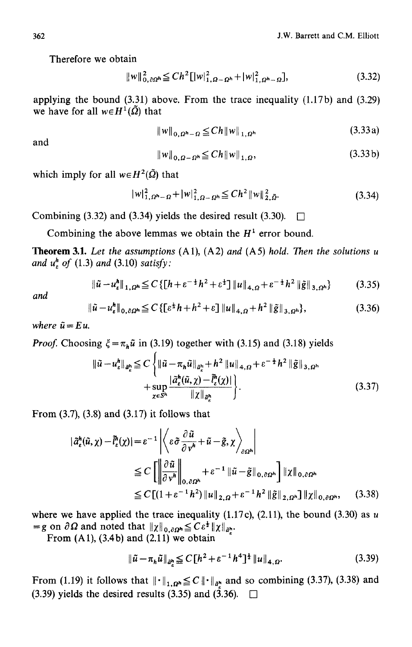Therefore we obtain

$$
||w||_{0,\partial\Omega^{h}}^{2} \leq Ch^{2}[|w|_{1,\Omega-\Omega^{h}}^{2}+|w|_{1,\Omega^{h}-\Omega}^{2}], \qquad (3.32)
$$

applying the bound  $(3.31)$  above. From the trace inequality  $(1.17b)$  and  $(3.29)$ we have for all  $w \in H^1(\tilde{\Omega})$  that

$$
||w||_{0,\Omega^h-\Omega} \leq Ch ||w||_{1,\Omega^h}
$$
\n(3.33a)

and

$$
||w||_{0,\Omega-\Omega^{h}} \leq Ch ||w||_{1,\Omega}, \qquad (3.33\,\mathrm{b})
$$

which imply for all  $w \in H^2(\tilde{\Omega})$  that

$$
|w|_{1,\Omega^h-\Omega}^2 + |w|_{1,\Omega-\Omega^h}^2 \leq Ch^2 \|w\|_{2,\bar{\Omega}}^2.
$$
 (3.34)

Combining (3.32) and (3.34) yields the desired result (3.30).  $\Box$ 

Combining the above lemmas we obtain the  $H<sup>1</sup>$  error bound.

Theorem 3.1. *Let the assumptions* (A1), (A2) *and* (A5) *hold. Then the solutions u and uh~ of* (1.3) *and* (3.10) *satisfy:* 

$$
\|\tilde{u} - u_{\varepsilon}^{h}\|_{1, \Omega^{h}} \leq C \left\{ \left[h + \varepsilon^{-\frac{1}{2}} h^{2} + \varepsilon^{\frac{1}{2}} \right] \|u\|_{4, \Omega} + \varepsilon^{-\frac{1}{2}} h^{2} \left\| \tilde{g} \right\|_{3, \Omega^{h}} \right\}
$$
(3.35)

*and* 

$$
\|\tilde{u} - u_{\varepsilon}^{h}\|_{0,\partial\Omega^{h}} \leq C \left\{ \left[\varepsilon^{\frac{1}{2}} h + h^{2} + \varepsilon\right] \|u\|_{4,\Omega} + h^{2} \left\|\tilde{g}\right\|_{3,\Omega^{h}} \right\},\tag{3.36}
$$

*where*  $\tilde{u} = E u$ .

*Proof.* Choosing  $\xi = \pi_h \tilde{u}$  in (3.19) together with (3.15) and (3.18) yields

$$
\begin{split} \|\tilde{u} - u_{\varepsilon}^{h}\|_{\tilde{a}_{\varepsilon}^{h}} &\leq C \left\{ \|\tilde{u} - \pi_{h}\tilde{u}\|_{\tilde{a}_{\varepsilon}^{h}} + h^{2} \left\|u\right\|_{4,\Omega} + \varepsilon^{-\frac{1}{2}} h^{2} \left\|\tilde{g}\right\|_{3,\Omega^{h}} \right. \\ &\left. + \sup_{\chi \in S^{h}} \frac{|\tilde{a}_{\varepsilon}^{h}(\tilde{u},\chi) - \tilde{l}_{\varepsilon}^{h}(\chi)|}{\|\chi\|_{\tilde{a}_{\varepsilon}^{h}}}\right\} . \end{split} \tag{3.37}
$$

From (3.7), (3.8) and (3.17) it follows that

$$
\begin{split} |\tilde{a}_{\varepsilon}^{h}(\tilde{u}, \chi) - \tilde{l}_{\varepsilon}^{h}(\chi)| &= \varepsilon^{-1} \left| \left\langle \varepsilon \tilde{\sigma} \frac{\partial \tilde{u}}{\partial v^{h}} + \tilde{u} - \tilde{g}, \chi \right\rangle_{\partial \Omega^{h}} \right| \\ &\leq C \left[ \left\| \frac{\partial \tilde{u}}{\partial v^{h}} \right\|_{0, \partial \Omega^{h}} + \varepsilon^{-1} \left\| \tilde{u} - \tilde{g} \right\|_{0, \partial \Omega^{h}} \right] \| \chi \|_{0, \partial \Omega^{h}} \\ &\leq C \left[ (1 + \varepsilon^{-1} h^{2}) \left\| u \right\|_{2, \Omega} + \varepsilon^{-1} h^{2} \left\| \tilde{g} \right\|_{2, \Omega^{h}} \right] \| \chi \|_{0, \partial \Omega^{h}}, \end{split} \tag{3.38}
$$

where we have applied the trace inequality (1.17c), (2.11), the bound (3.30) as  $u$  $=g$  on  $\partial \Omega$  and noted that  $||\chi||_{0,\partial \Omega^h} \leq C\epsilon^{\frac{1}{2}} ||\chi||_{\partial \Omega^h}$ .

From  $(A1)$ ,  $(3.4b)$  and  $(2.11)$  we obtain

$$
\|\tilde{u} - \pi_h \tilde{u}\|_{\tilde{a}_k^h} \le C \left[ h^2 + \varepsilon^{-1} h^4 \right]^{\frac{1}{2}} \|u\|_{4, \Omega}. \tag{3.39}
$$

From (1.19) it follows that  $\|\cdot\|_{1,\Omega^h} \leq C \|\cdot\|_{d^h}$  and so combining (3.37), (3.38) and (3.39) yields the desired results (3.35) and (3.36).  $\Box$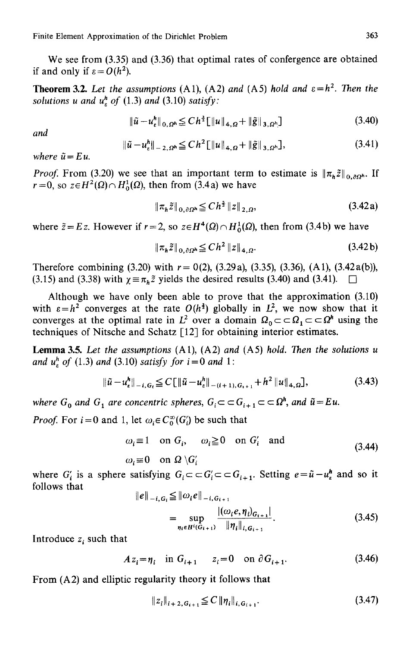We see from  $(3.35)$  and  $(3.36)$  that optimal rates of confergence are obtained if and only if  $\varepsilon = O(h^2)$ .

**Theorem 3.2.** Let the assumptions  $(A1)$ ,  $(A2)$  and  $(A5)$  hold and  $\varepsilon=h^2$ . Then the *solutions u and uh~ of* (1.3) *and* (3.10) *satisfy:* 

$$
\|\tilde{u} - u_{\varepsilon}^h\|_{0, \Omega^h} \leq C h^{\frac{3}{2}} [\|u\|_{4, \Omega} + \|\tilde{g}\|_{3, \Omega^h}]
$$
\n(3.40)

*and* 

$$
\|\tilde{u} - u_{\varepsilon}^{h}\|_{-2, \Omega^{h}} \leq C h^{2} \|\|u\|_{4, \Omega} + \|\tilde{g}\|_{3, \Omega^{h}} \},
$$
\n(3.41)

*where*  $\tilde{u} = E u$ .

*Proof.* From (3.20) we see that an important term to estimate is  $\|\pi_h\tilde{z}\|_{0,00^h}$ . If  $r=0$ , so  $z \in H^2(\Omega) \cap H^1_0(\Omega)$ , then from (3.4a) we have

$$
\|\pi_{h}\tilde{z}\|_{0,\partial\Omega^{h}} \leq C h^{\frac{3}{2}} \|z\|_{2,\Omega}, \tag{3.42a}
$$

where  $\tilde{z} = E z$ . However if  $r = 2$ , so  $z \in H^4(\Omega) \cap H^1_0(\Omega)$ , then from (3.4b) we have

$$
\|\pi_h \tilde{z}\|_{0,\partial\Omega^h} \leq C h^2 \|z\|_{4,\Omega}.
$$
\n(3.42b)

Therefore combining (3.20) with  $r = 0(2)$ , (3.29a), (3.35), (3.36), (A1), (3.42a(b)), (3.15) and (3.38) with  $\chi = \pi_h \tilde{z}$  yields the desired results (3.40) and (3.41).  $\Box$ 

Although we have only been able to prove that the approximation (3.10) with  $\varepsilon = h^2$  converges at the rate  $O(h^2)$  globally in  $L^2$ , we now show that it converges at the optimal rate in  $L^2$  over a domain  $\Omega_0 \subset \subset \Omega_1 \subset \subset \Omega^h$  using the techniques of Nitsche and Schatz [12] for obtaining interior estimates.

Lemma 3.5. *Let the assumptions* (A1), (A2) *and* (A5) *hold. Then the solutions u and*  $u_{\varepsilon}^{h}$  *of* (1.3) *and* (3.10) *satisfy for*  $i = 0$  *and* 1:

$$
\|\tilde{u} - u_{\varepsilon}^{h}\|_{-i, G_{i}} \leq C \|\tilde{u} - u_{\varepsilon}^{h}\|_{-(i+1), G_{i+1}} + h^{2} \|u\|_{4, \Omega}, \tag{3.43}
$$

*where*  $G_0$  and  $G_1$  are concentric spheres,  $G_i \subset G_{i+1} \subset \subset \Omega^h$ , and  $\tilde{u} = Eu$ .

*Proof.* For  $i=0$  and 1, let  $\omega_i \in C_0^{\infty}(G_i)$  be such that

$$
\omega_i \equiv 1 \quad \text{on } G_i, \qquad \omega_i \ge 0 \quad \text{on } G'_i \quad \text{and}
$$
\n
$$
\omega_i \equiv 0 \quad \text{on } \Omega \setminus G'_i \tag{3.44}
$$

where  $G'_i$  is a sphere satisfying  $G_i \subset \subset G'_i \subset \subset G_{i+1}$ . Setting  $e = \tilde{u} - u_e^h$  and so it follows that  $\|e\|_{\alpha,\sigma} \leq \|a.e\|$ 

$$
||e||_{-i, G_i} \leq ||\omega_i e||_{-i, G_{i+1}}= \sup_{\eta_i \in H^i(G_{i+1})} \frac{|(\omega_i e, \eta_i)_{G_{i+1}}|}{\|\eta_i\|_{i, G_{i+1}}}.
$$
(3.45)

Introduce  $z_i$  such that

$$
Az_i = \eta_i
$$
 in  $G_{i+1}$   $z_i = 0$  on  $\partial G_{i+1}$ . (3.46)

From (A2) and elliptic regularity theory it follows that

$$
||z_i||_{i+2, G_{i+1}} \leq C ||\eta_i||_{i, G_{i+1}}.
$$
\n(3.47)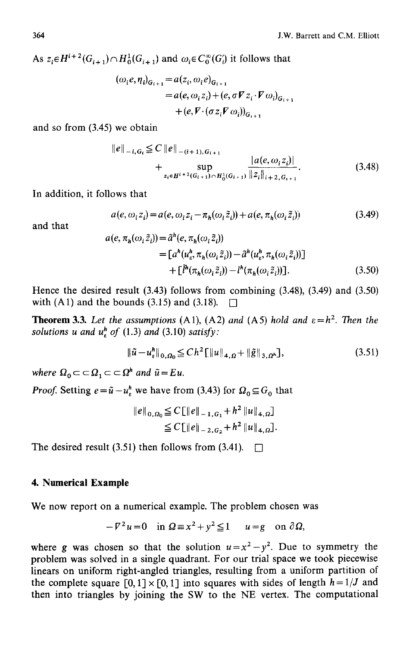As  $z_i \in H^{i+2}(G_{i+1}) \cap H_0^1(G_{i+1})$  and  $\omega_i \in C_0^{\infty}(G_i)$  it follows that

$$
(\omega_i e, \eta_i)_{G_{i+1}} = a(z_i, \omega_i e)_{G_{i+1}}
$$
  
=  $a(e, \omega_i z_i) + (e, \sigma \nabla z_i \cdot \nabla \omega_i)_{G_{i+1}}$   
+  $(e, \nabla \cdot (\sigma z_i \nabla \omega_i))_{G_{i+1}}$ 

and so from (3.45) we obtain

$$
\|e\|_{-i, G_t} \leq C \|e\|_{-(i+1), G_{i+1}} + \sup_{z_i \in H^{i+2}(G_{i+1}) \cap H_0^1(G_{i+1})} \frac{|a(e, \omega_i z_i)|}{\|z_i\|_{i+2, G_{i+1}}}.
$$
 (3.48)

In addition, it follows that

$$
a(e, \omega_i z_i) = a(e, \omega_i z_i - \pi_h(\omega_i \tilde{z}_i)) + a(e, \pi_h(\omega_i \tilde{z}_i))
$$
\n(3.49)

and that

$$
a(e, \pi_h(\omega_i \tilde{z}_i)) = \tilde{a}^h(e, \pi_h(\omega_i \tilde{z}_i))
$$
  
\n
$$
= [a^h(u_i^h, \pi_h(\omega_i \tilde{z}_i)) - \tilde{a}^h(u_i^h, \pi_h(\omega_i \tilde{z}_i))]
$$
  
\n
$$
+ [\tilde{l}^h(\pi_h(\omega_i \tilde{z}_i)) - l^h(\pi_h(\omega_i \tilde{z}_i))].
$$
\n(3.50)

Hence the desired result (3.43) follows from combining (3.48), (3.49) and (3.50) with  $(A1)$  and the bounds  $(3.15)$  and  $(3.18)$ .

**Theorem 3.3.** *Let the assumptions* (A1), (A2) *and* (A5) *hold and*  $\varepsilon = h^2$ . *Then the* solutions u and  $u^h$  of (1.3) and (3.10) satisfy:

$$
\|\tilde{u} - u_{\varepsilon}^h\|_{0, \Omega_0} \leq C h^2 \|\|u\|_{4, \Omega} + \|\tilde{g}\|_{3, \Omega^h}, \tag{3.51}
$$

*where*  $\Omega_0 \subset \subset \Omega_1 \subset \subset \Omega^h$  *and*  $\tilde{u} = Eu$ .

*Proof.* Setting  $e=\tilde{u}-u^h$ , we have from (3.43) for  $\Omega_0 \subseteq G_0$  that

$$
\begin{aligned} \|e\|_{0,\Omega_0} &\leq C \big[ \|e\|_{-1,G_1} + h^2 \|u\|_{4,\Omega} \big] \\ &\leq C \big[ \|e\|_{-2,G_2} + h^2 \|u\|_{4,\Omega} \big]. \end{aligned}
$$

The desired result (3.51) then follows from (3.41).  $\Box$ 

#### **4. Numerical Example**

We now report on a numerical example. The problem chosen was

$$
-V^2u=0 \quad \text{in } \Omega \equiv x^2 + y^2 \leq 1 \qquad u=g \quad \text{on } \partial \Omega,
$$

where g was chosen so that the solution  $u=x^2-y^2$ . Due to symmetry the problem was solved in a single quadrant. For our trial space we took piecewise linears on uniform right-angled triangles, resulting from a uniform partition of the complete square  $[0, 1] \times [0, 1]$  into squares with sides of length  $h = 1/J$  and then into triangles by joining the SW to the NE vertex. The computational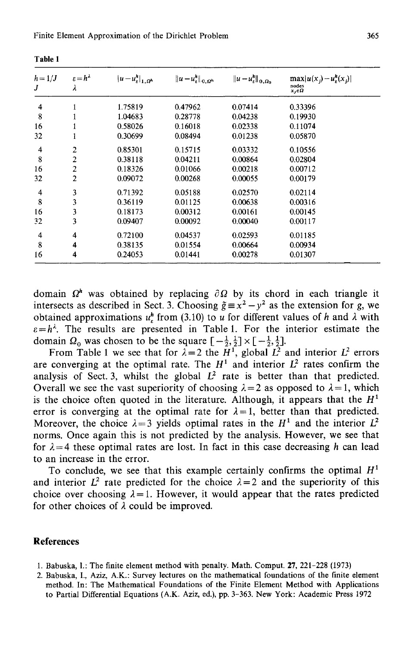| $h = 1/J$<br>J | $\varepsilon = h^{\lambda}$<br>λ | $ u-u_{\varepsilon}^h _{1,\Omega^h}$ | $  u - u_{\varepsilon}^{h}  _{0, \Omega^{h}}$ | $  u - u_{\varepsilon}^{h}  _{0, \Omega_{0}}$ | $\max  u(x_j)-u_{\varepsilon}^h(x_j) $<br>nodes<br>$x_i \in \Omega$ |  |
|----------------|----------------------------------|--------------------------------------|-----------------------------------------------|-----------------------------------------------|---------------------------------------------------------------------|--|
| 4              | 1                                | 1.75819                              | 0.47962                                       | 0.07414                                       | 0.33396                                                             |  |
| 8              |                                  | 1.04683                              | 0.28778                                       | 0.04238                                       | 0.19930                                                             |  |
| 16             | 1                                | 0.58026                              | 0.16018                                       | 0.02338                                       | 0.11074                                                             |  |
| 32             | 1                                | 0.30699                              | 0.08494                                       | 0.01238                                       | 0.05870                                                             |  |
| 4              | 2                                | 0.85301                              | 0.15715                                       | 0.03332                                       | 0.10556                                                             |  |
| 8              | $\overline{2}$                   | 0.38118                              | 0.04211                                       | 0.00864                                       | 0.02804                                                             |  |
| 16             | $\overline{2}$                   | 0.18326                              | 0.01066                                       | 0.00218                                       | 0.00712                                                             |  |
| 32             | $\overline{2}$                   | 0.09072                              | 0.00268                                       | 0.00055                                       | 0.00179                                                             |  |
| 4              | 3                                | 0.71392                              | 0.05188                                       | 0.02570                                       | 0.02114                                                             |  |
| 8              | 3                                | 0.36119                              | 0.01125                                       | 0.00638                                       | 0.00316                                                             |  |
| 16             | 3                                | 0.18173                              | 0.00312                                       | 0.00161                                       | 0.00145                                                             |  |
| 32             | 3                                | 0.09407                              | 0.00092                                       | 0.00040                                       | 0.00117                                                             |  |
| 4              | 4                                | 0.72100                              | 0.04537                                       | 0.02593                                       | 0.01185                                                             |  |
| 8              | 4                                | 0.38135                              | 0.01554                                       | 0.00664                                       | 0.00934                                                             |  |
| 16             | 4                                | 0.24053                              | 0.01441                                       | 0.00278                                       | 0.01307                                                             |  |

Table 1

domain  $\Omega^h$  was obtained by replacing  $\partial \Omega$  by its chord in each triangle it intersects as described in Sect. 3. Choosing  $\tilde{g} = x^2 - y^2$  as the extension for g, we obtained approximations  $u_n^h$  from (3.10) to u for different values of h and  $\lambda$  with  $\varepsilon = h^{\lambda}$ . The results are presented in Table 1. For the interior estimate the domain  $\Omega_0$  was chosen to be the square  $\left[-\frac{1}{2},\frac{1}{2}\right] \times \left[-\frac{1}{2},\frac{1}{2}\right]$ .

From Table 1 we see that for  $\lambda = 2$  the  $\hat{H}^1$ , global  $\hat{L}^2$  and interior  $L^2$  errors are converging at the optimal rate. The  $H<sup>1</sup>$  and interior  $L<sup>2</sup>$  rates confirm the analysis of Sect. 3, whilst the global  $L^2$  rate is better than that predicted. Overall we see the vast superiority of choosing  $\lambda = 2$  as opposed to  $\lambda = 1$ , which is the choice often quoted in the literature. Although, it appears that the  $H<sup>1</sup>$ error is converging at the optimal rate for  $\lambda = 1$ , better than that predicted. Moreover, the choice  $\lambda = 3$  yields optimal rates in the H<sup>1</sup> and the interior  $L^2$ norms. Once again this is not predicted by the analysis. However, we see that for  $\lambda = 4$  these optimal rates are lost. In fact in this case decreasing h can lead to an increase in the error.

To conclude, we see that this example certainly confirms the optimal  $H<sup>1</sup>$ and interior  $L^2$  rate predicted for the choice  $\lambda = 2$  and the superiority of this choice over choosing  $\lambda = 1$ . However, it would appear that the rates predicted for other choices of  $\lambda$  could be improved.

#### **References**

- 1. Babuska, I.: The finite element method with penalty. Math. Comput. 27, 221-228 (1973)
- 2. Babuska, I., Aziz, A.K.: Survey lectures on the mathematical foundations of the finite element method. In: The Mathematical Foundations of the Finite Element Method with Applications to Partial Differential Equations (A.K. Aziz, ed.), pp. 3-363. New York: Academic Press 1972